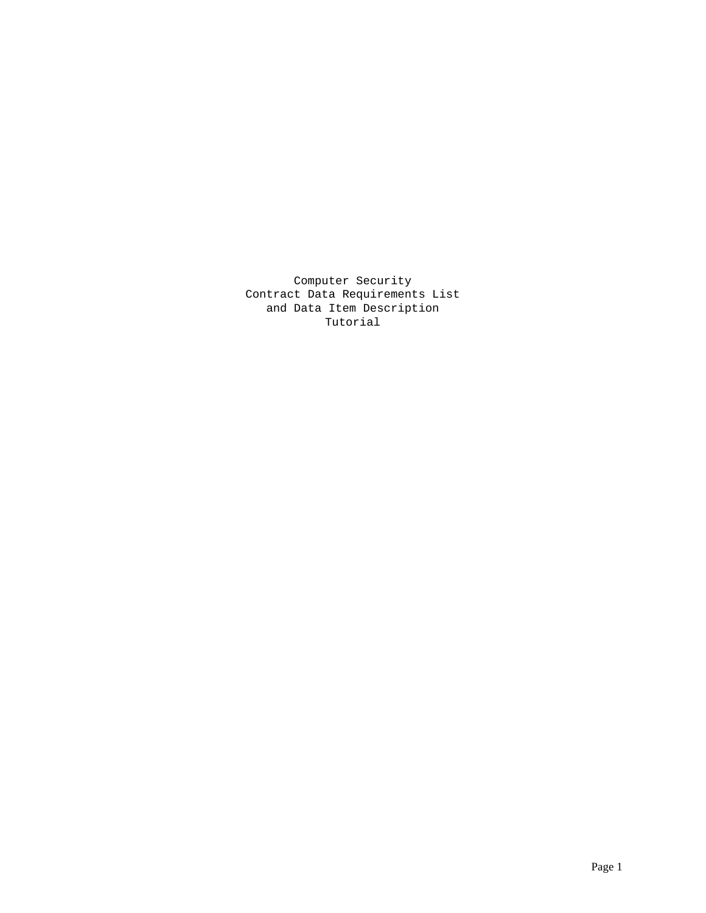Computer Security Contract Data Requirements List and Data Item Description Tutorial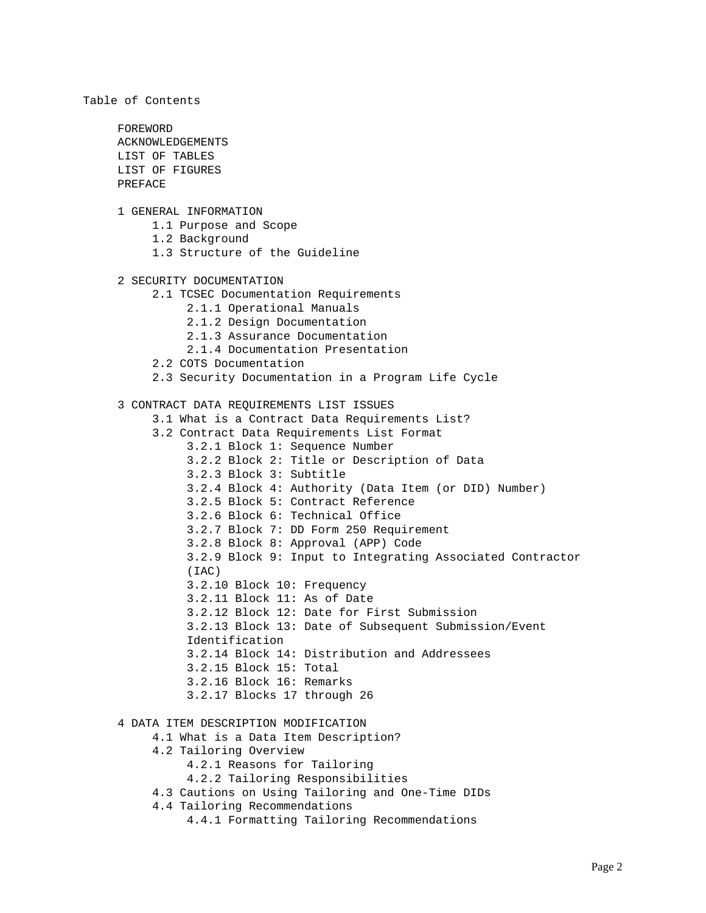Table of Contents FOREWORD ACKNOWLEDGEMENTS LIST OF TABLES LIST OF FIGURES PREFACE 1 GENERAL INFORMATION 1.1 Purpose and Scope 1.2 Background 1.3 Structure of the Guideline 2 SECURITY DOCUMENTATION 2.1 TCSEC Documentation Requirements 2.1.1 Operational Manuals 2.1.2 Design Documentation 2.1.3 Assurance Documentation 2.1.4 Documentation Presentation 2.2 COTS Documentation 2.3 Security Documentation in a Program Life Cycle 3 CONTRACT DATA REQUIREMENTS LIST ISSUES 3.1 What is a Contract Data Requirements List? 3.2 Contract Data Requirements List Format 3.2.1 Block 1: Sequence Number 3.2.2 Block 2: Title or Description of Data 3.2.3 Block 3: Subtitle 3.2.4 Block 4: Authority (Data Item (or DID) Number) 3.2.5 Block 5: Contract Reference 3.2.6 Block 6: Technical Office 3.2.7 Block 7: DD Form 250 Requirement 3.2.8 Block 8: Approval (APP) Code 3.2.9 Block 9: Input to Integrating Associated Contractor (IAC) 3.2.10 Block 10: Frequency 3.2.11 Block 11: As of Date 3.2.12 Block 12: Date for First Submission 3.2.13 Block 13: Date of Subsequent Submission/Event Identification 3.2.14 Block 14: Distribution and Addressees 3.2.15 Block 15: Total 3.2.16 Block 16: Remarks 3.2.17 Blocks 17 through 26 4 DATA ITEM DESCRIPTION MODIFICATION 4.1 What is a Data Item Description? 4.2 Tailoring Overview 4.2.1 Reasons for Tailoring 4.2.2 Tailoring Responsibilities 4.3 Cautions on Using Tailoring and One-Time DIDs 4.4 Tailoring Recommendations 4.4.1 Formatting Tailoring Recommendations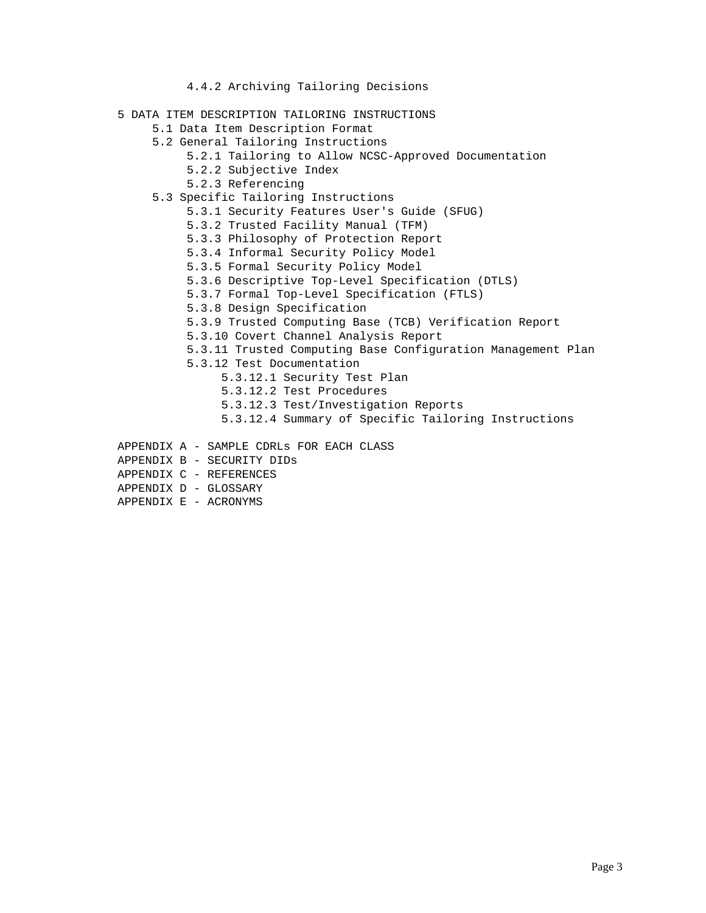- 4.4.2 Archiving Tailoring Decisions
- 5 DATA ITEM DESCRIPTION TAILORING INSTRUCTIONS
	- 5.1 Data Item Description Format
	- 5.2 General Tailoring Instructions
		- 5.2.1 Tailoring to Allow NCSC-Approved Documentation
		- 5.2.2 Subjective Index
		- 5.2.3 Referencing
	- 5.3 Specific Tailoring Instructions
		- 5.3.1 Security Features User's Guide (SFUG)
		- 5.3.2 Trusted Facility Manual (TFM)
		- 5.3.3 Philosophy of Protection Report
		- 5.3.4 Informal Security Policy Model
		- 5.3.5 Formal Security Policy Model
		- 5.3.6 Descriptive Top-Level Specification (DTLS)
		- 5.3.7 Formal Top-Level Specification (FTLS)
		- 5.3.8 Design Specification
		- 5.3.9 Trusted Computing Base (TCB) Verification Report
		- 5.3.10 Covert Channel Analysis Report
		- 5.3.11 Trusted Computing Base Configuration Management Plan
		- 5.3.12 Test Documentation
			- 5.3.12.1 Security Test Plan
			- 5.3.12.2 Test Procedures
			- 5.3.12.3 Test/Investigation Reports
			- 5.3.12.4 Summary of Specific Tailoring Instructions
- APPENDIX A SAMPLE CDRLs FOR EACH CLASS
- APPENDIX B SECURITY DIDs
- APPENDIX C REFERENCES
- APPENDIX D GLOSSARY
- APPENDIX E ACRONYMS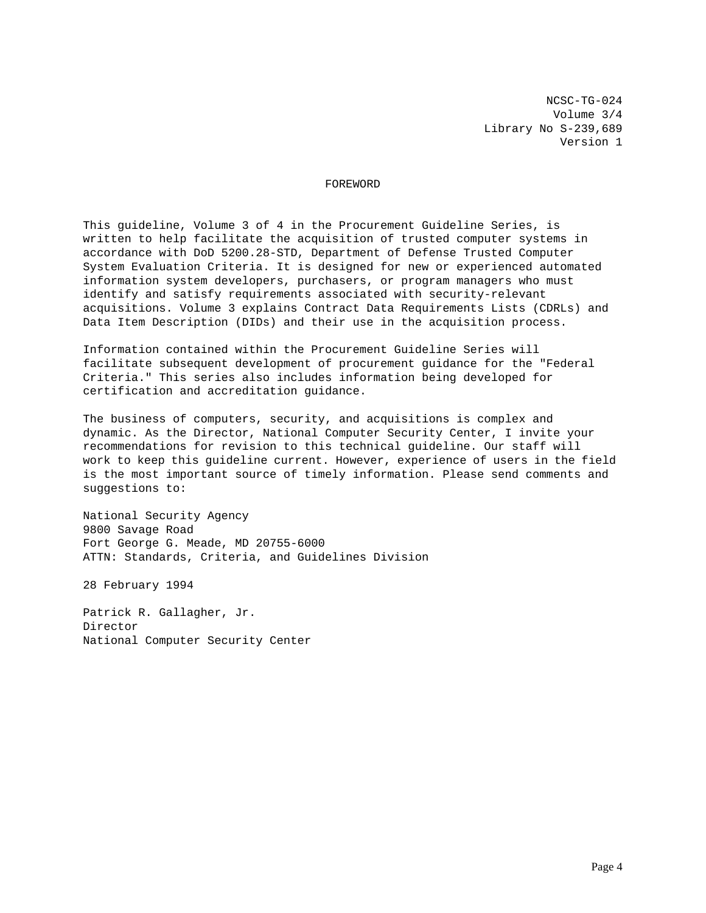NCSC-TG-024 Volume 3/4 Library No S-239,689 Version 1

## FOREWORD

This guideline, Volume 3 of 4 in the Procurement Guideline Series, is written to help facilitate the acquisition of trusted computer systems in accordance with DoD 5200.28-STD, Department of Defense Trusted Computer System Evaluation Criteria. It is designed for new or experienced automated information system developers, purchasers, or program managers who must identify and satisfy requirements associated with security-relevant acquisitions. Volume 3 explains Contract Data Requirements Lists (CDRLs) and Data Item Description (DIDs) and their use in the acquisition process.

Information contained within the Procurement Guideline Series will facilitate subsequent development of procurement guidance for the "Federal Criteria." This series also includes information being developed for certification and accreditation guidance.

The business of computers, security, and acquisitions is complex and dynamic. As the Director, National Computer Security Center, I invite your recommendations for revision to this technical guideline. Our staff will work to keep this guideline current. However, experience of users in the field is the most important source of timely information. Please send comments and suggestions to:

National Security Agency 9800 Savage Road Fort George G. Meade, MD 20755-6000 ATTN: Standards, Criteria, and Guidelines Division

28 February 1994

Patrick R. Gallagher, Jr. Director National Computer Security Center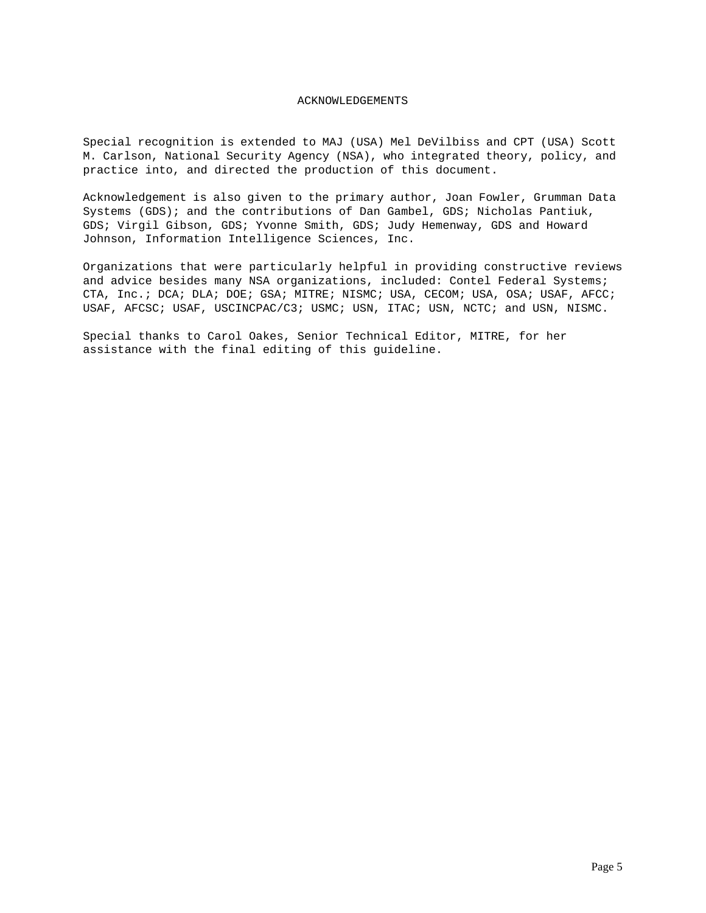## ACKNOWLEDGEMENTS

Special recognition is extended to MAJ (USA) Mel DeVilbiss and CPT (USA) Scott M. Carlson, National Security Agency (NSA), who integrated theory, policy, and practice into, and directed the production of this document.

Acknowledgement is also given to the primary author, Joan Fowler, Grumman Data Systems (GDS); and the contributions of Dan Gambel, GDS; Nicholas Pantiuk, GDS; Virgil Gibson, GDS; Yvonne Smith, GDS; Judy Hemenway, GDS and Howard Johnson, Information Intelligence Sciences, Inc.

Organizations that were particularly helpful in providing constructive reviews and advice besides many NSA organizations, included: Contel Federal Systems; CTA, Inc.; DCA; DLA; DOE; GSA; MITRE; NISMC; USA, CECOM; USA, OSA; USAF, AFCC; USAF, AFCSC; USAF, USCINCPAC/C3; USMC; USN, ITAC; USN, NCTC; and USN, NISMC.

Special thanks to Carol Oakes, Senior Technical Editor, MITRE, for her assistance with the final editing of this guideline.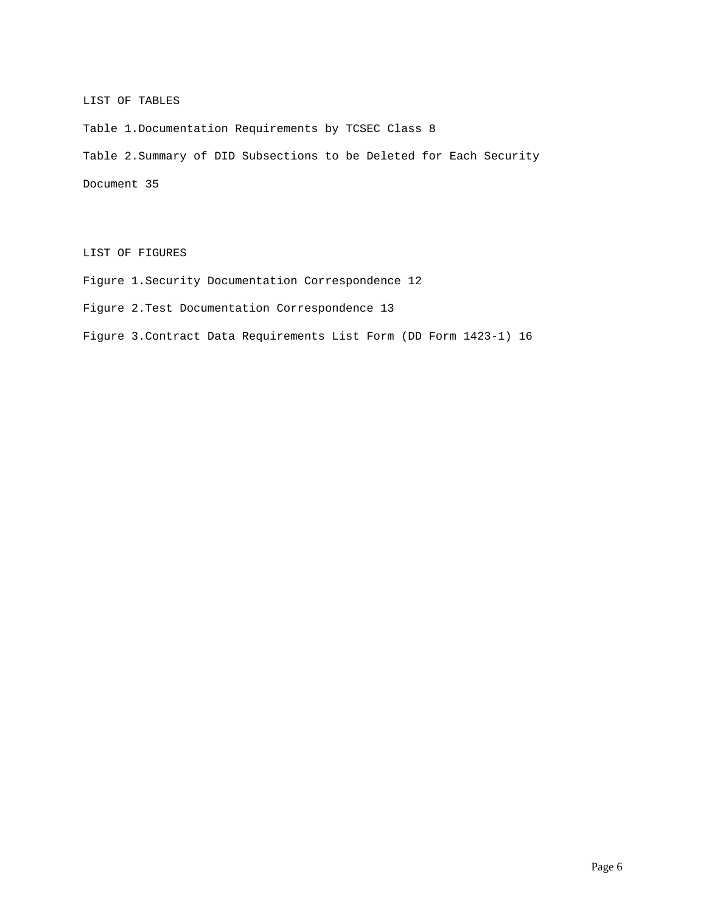# LIST OF TABLES

Table 1.Documentation Requirements by TCSEC Class 8

Table 2.Summary of DID Subsections to be Deleted for Each Security

Document 35

LIST OF FIGURES

Figure 1.Security Documentation Correspondence 12

Figure 2.Test Documentation Correspondence 13

Figure 3.Contract Data Requirements List Form (DD Form 1423-1) 16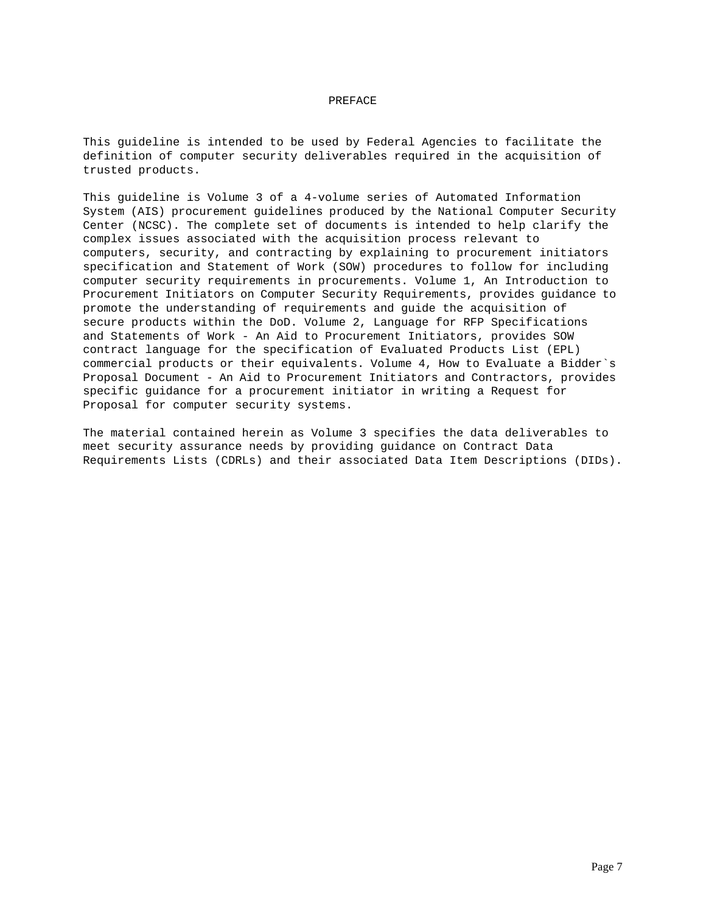## PREFACE

This guideline is intended to be used by Federal Agencies to facilitate the definition of computer security deliverables required in the acquisition of trusted products.

This guideline is Volume 3 of a 4-volume series of Automated Information System (AIS) procurement guidelines produced by the National Computer Security Center (NCSC). The complete set of documents is intended to help clarify the complex issues associated with the acquisition process relevant to computers, security, and contracting by explaining to procurement initiators specification and Statement of Work (SOW) procedures to follow for including computer security requirements in procurements. Volume 1, An Introduction to Procurement Initiators on Computer Security Requirements, provides guidance to promote the understanding of requirements and guide the acquisition of secure products within the DoD. Volume 2, Language for RFP Specifications and Statements of Work - An Aid to Procurement Initiators, provides SOW contract language for the specification of Evaluated Products List (EPL) commercial products or their equivalents. Volume 4, How to Evaluate a Bidder`s Proposal Document - An Aid to Procurement Initiators and Contractors, provides specific guidance for a procurement initiator in writing a Request for Proposal for computer security systems.

The material contained herein as Volume 3 specifies the data deliverables to meet security assurance needs by providing guidance on Contract Data Requirements Lists (CDRLs) and their associated Data Item Descriptions (DIDs).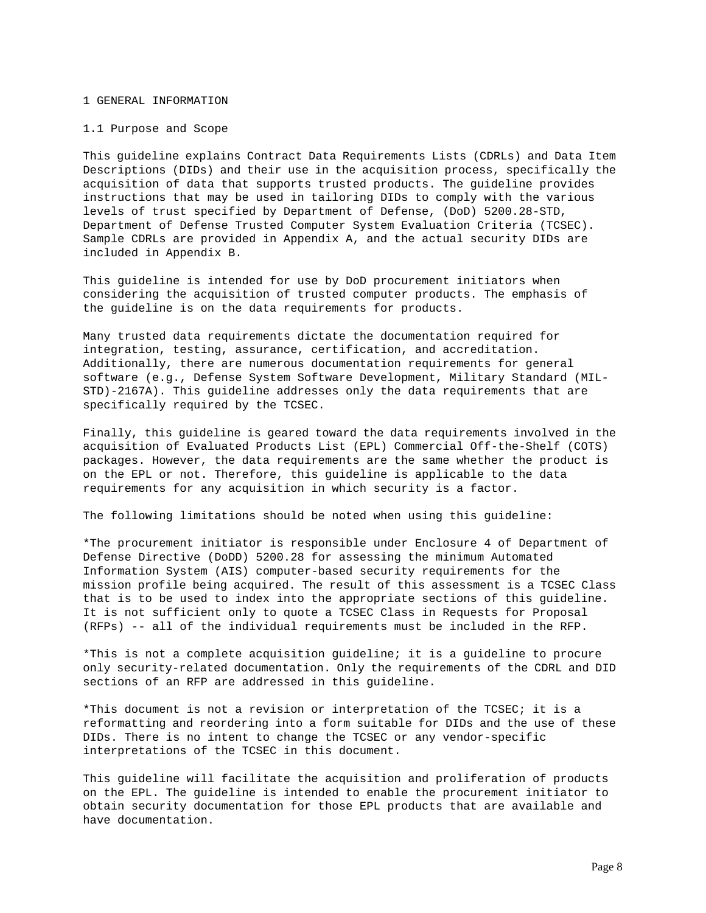### 1 GENERAL INFORMATION

#### 1.1 Purpose and Scope

This guideline explains Contract Data Requirements Lists (CDRLs) and Data Item Descriptions (DIDs) and their use in the acquisition process, specifically the acquisition of data that supports trusted products. The guideline provides instructions that may be used in tailoring DIDs to comply with the various levels of trust specified by Department of Defense, (DoD) 5200.28-STD, Department of Defense Trusted Computer System Evaluation Criteria (TCSEC). Sample CDRLs are provided in Appendix A, and the actual security DIDs are included in Appendix B.

This guideline is intended for use by DoD procurement initiators when considering the acquisition of trusted computer products. The emphasis of the guideline is on the data requirements for products.

Many trusted data requirements dictate the documentation required for integration, testing, assurance, certification, and accreditation. Additionally, there are numerous documentation requirements for general software (e.g., Defense System Software Development, Military Standard (MIL-STD)-2167A). This guideline addresses only the data requirements that are specifically required by the TCSEC.

Finally, this guideline is geared toward the data requirements involved in the acquisition of Evaluated Products List (EPL) Commercial Off-the-Shelf (COTS) packages. However, the data requirements are the same whether the product is on the EPL or not. Therefore, this guideline is applicable to the data requirements for any acquisition in which security is a factor.

The following limitations should be noted when using this guideline:

\*The procurement initiator is responsible under Enclosure 4 of Department of Defense Directive (DoDD) 5200.28 for assessing the minimum Automated Information System (AIS) computer-based security requirements for the mission profile being acquired. The result of this assessment is a TCSEC Class that is to be used to index into the appropriate sections of this guideline. It is not sufficient only to quote a TCSEC Class in Requests for Proposal (RFPs) -- all of the individual requirements must be included in the RFP.

\*This is not a complete acquisition guideline; it is a guideline to procure only security-related documentation. Only the requirements of the CDRL and DID sections of an RFP are addressed in this guideline.

\*This document is not a revision or interpretation of the TCSEC; it is a reformatting and reordering into a form suitable for DIDs and the use of these DIDs. There is no intent to change the TCSEC or any vendor-specific interpretations of the TCSEC in this document.

This guideline will facilitate the acquisition and proliferation of products on the EPL. The guideline is intended to enable the procurement initiator to obtain security documentation for those EPL products that are available and have documentation.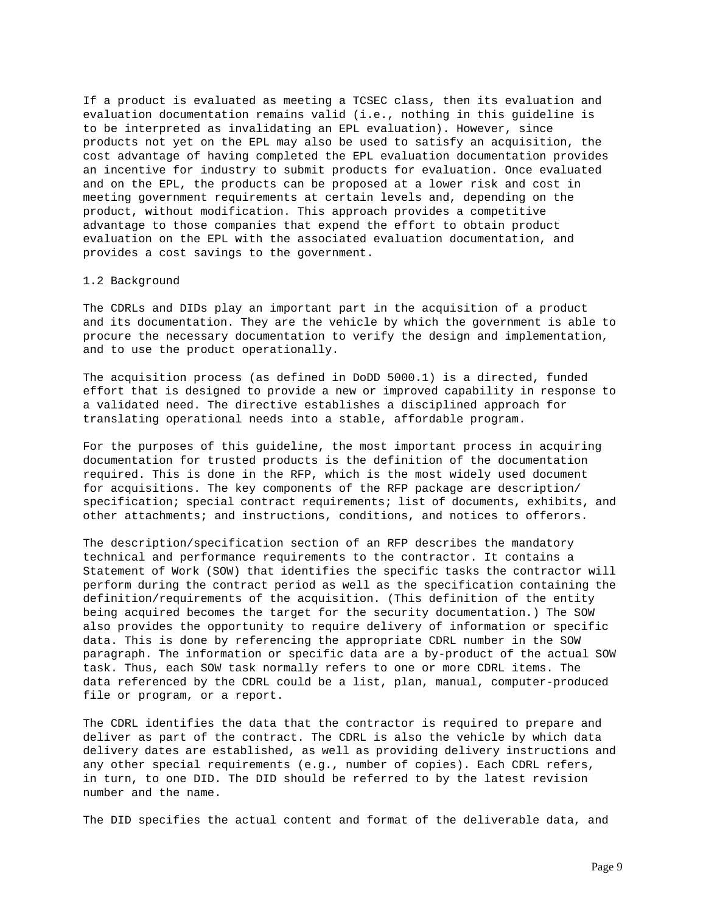If a product is evaluated as meeting a TCSEC class, then its evaluation and evaluation documentation remains valid (i.e., nothing in this guideline is to be interpreted as invalidating an EPL evaluation). However, since products not yet on the EPL may also be used to satisfy an acquisition, the cost advantage of having completed the EPL evaluation documentation provides an incentive for industry to submit products for evaluation. Once evaluated and on the EPL, the products can be proposed at a lower risk and cost in meeting government requirements at certain levels and, depending on the product, without modification. This approach provides a competitive advantage to those companies that expend the effort to obtain product evaluation on the EPL with the associated evaluation documentation, and provides a cost savings to the government.

## 1.2 Background

The CDRLs and DIDs play an important part in the acquisition of a product and its documentation. They are the vehicle by which the government is able to procure the necessary documentation to verify the design and implementation, and to use the product operationally.

The acquisition process (as defined in DoDD 5000.1) is a directed, funded effort that is designed to provide a new or improved capability in response to a validated need. The directive establishes a disciplined approach for translating operational needs into a stable, affordable program.

For the purposes of this guideline, the most important process in acquiring documentation for trusted products is the definition of the documentation required. This is done in the RFP, which is the most widely used document for acquisitions. The key components of the RFP package are description/ specification; special contract requirements; list of documents, exhibits, and other attachments; and instructions, conditions, and notices to offerors.

The description/specification section of an RFP describes the mandatory technical and performance requirements to the contractor. It contains a Statement of Work (SOW) that identifies the specific tasks the contractor will perform during the contract period as well as the specification containing the definition/requirements of the acquisition. (This definition of the entity being acquired becomes the target for the security documentation.) The SOW also provides the opportunity to require delivery of information or specific data. This is done by referencing the appropriate CDRL number in the SOW paragraph. The information or specific data are a by-product of the actual SOW task. Thus, each SOW task normally refers to one or more CDRL items. The data referenced by the CDRL could be a list, plan, manual, computer-produced file or program, or a report.

The CDRL identifies the data that the contractor is required to prepare and deliver as part of the contract. The CDRL is also the vehicle by which data delivery dates are established, as well as providing delivery instructions and any other special requirements (e.g., number of copies). Each CDRL refers, in turn, to one DID. The DID should be referred to by the latest revision number and the name.

The DID specifies the actual content and format of the deliverable data, and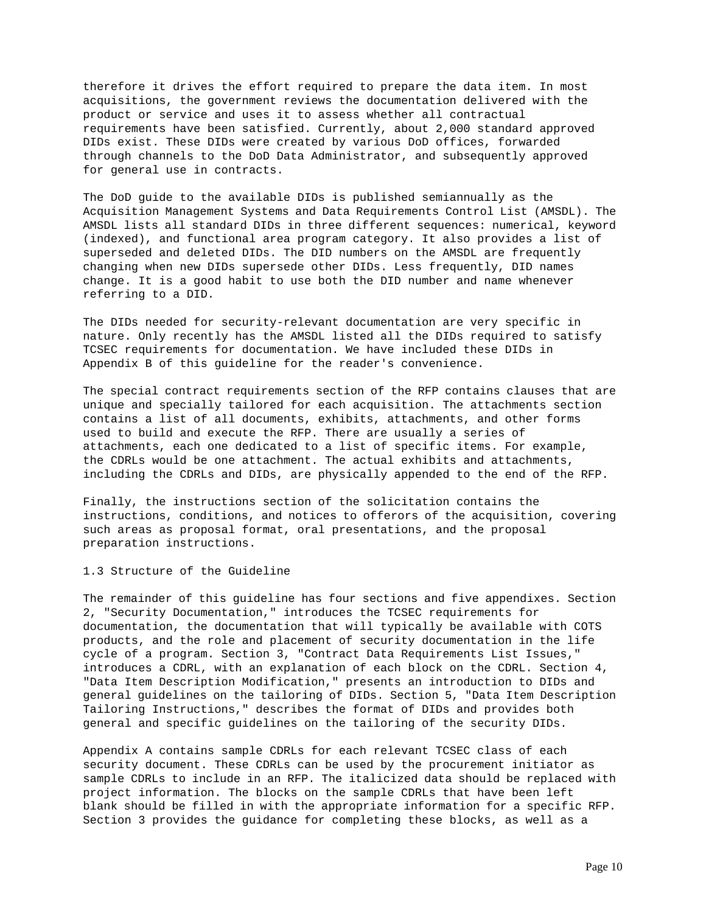therefore it drives the effort required to prepare the data item. In most acquisitions, the government reviews the documentation delivered with the product or service and uses it to assess whether all contractual requirements have been satisfied. Currently, about 2,000 standard approved DIDs exist. These DIDs were created by various DoD offices, forwarded through channels to the DoD Data Administrator, and subsequently approved for general use in contracts.

The DoD guide to the available DIDs is published semiannually as the Acquisition Management Systems and Data Requirements Control List (AMSDL). The AMSDL lists all standard DIDs in three different sequences: numerical, keyword (indexed), and functional area program category. It also provides a list of superseded and deleted DIDs. The DID numbers on the AMSDL are frequently changing when new DIDs supersede other DIDs. Less frequently, DID names change. It is a good habit to use both the DID number and name whenever referring to a DID.

The DIDs needed for security-relevant documentation are very specific in nature. Only recently has the AMSDL listed all the DIDs required to satisfy TCSEC requirements for documentation. We have included these DIDs in Appendix B of this guideline for the reader's convenience.

The special contract requirements section of the RFP contains clauses that are unique and specially tailored for each acquisition. The attachments section contains a list of all documents, exhibits, attachments, and other forms used to build and execute the RFP. There are usually a series of attachments, each one dedicated to a list of specific items. For example, the CDRLs would be one attachment. The actual exhibits and attachments, including the CDRLs and DIDs, are physically appended to the end of the RFP.

Finally, the instructions section of the solicitation contains the instructions, conditions, and notices to offerors of the acquisition, covering such areas as proposal format, oral presentations, and the proposal preparation instructions.

1.3 Structure of the Guideline

The remainder of this guideline has four sections and five appendixes. Section 2, "Security Documentation," introduces the TCSEC requirements for documentation, the documentation that will typically be available with COTS products, and the role and placement of security documentation in the life cycle of a program. Section 3, "Contract Data Requirements List Issues," introduces a CDRL, with an explanation of each block on the CDRL. Section 4, "Data Item Description Modification," presents an introduction to DIDs and general guidelines on the tailoring of DIDs. Section 5, "Data Item Description Tailoring Instructions," describes the format of DIDs and provides both general and specific guidelines on the tailoring of the security DIDs.

Appendix A contains sample CDRLs for each relevant TCSEC class of each security document. These CDRLs can be used by the procurement initiator as sample CDRLs to include in an RFP. The italicized data should be replaced with project information. The blocks on the sample CDRLs that have been left blank should be filled in with the appropriate information for a specific RFP. Section 3 provides the guidance for completing these blocks, as well as a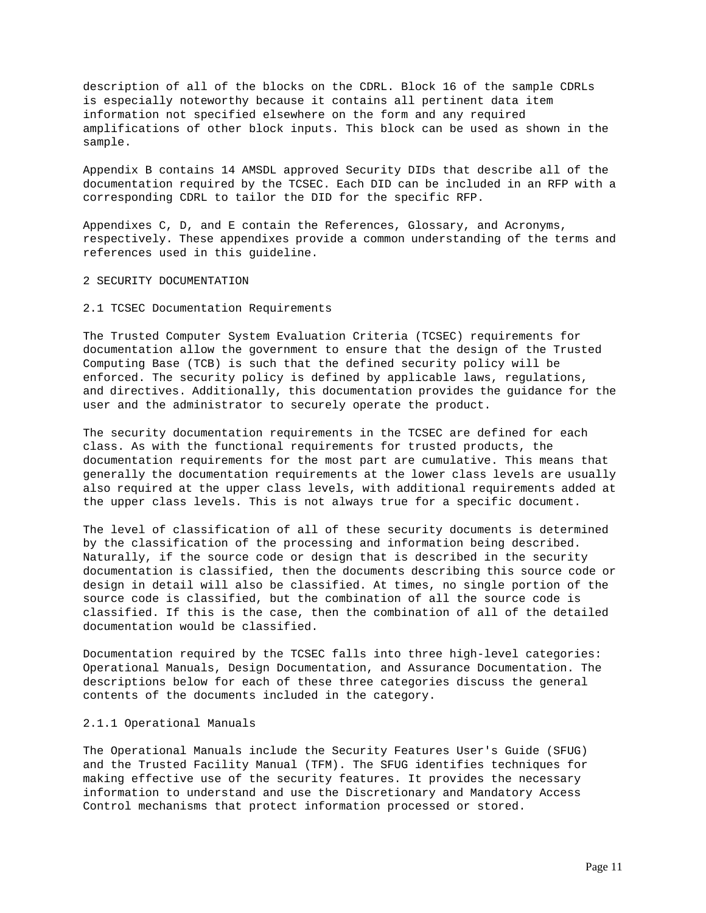description of all of the blocks on the CDRL. Block 16 of the sample CDRLs is especially noteworthy because it contains all pertinent data item information not specified elsewhere on the form and any required amplifications of other block inputs. This block can be used as shown in the sample.

Appendix B contains 14 AMSDL approved Security DIDs that describe all of the documentation required by the TCSEC. Each DID can be included in an RFP with a corresponding CDRL to tailor the DID for the specific RFP.

Appendixes C, D, and E contain the References, Glossary, and Acronyms, respectively. These appendixes provide a common understanding of the terms and references used in this guideline.

2 SECURITY DOCUMENTATION

## 2.1 TCSEC Documentation Requirements

The Trusted Computer System Evaluation Criteria (TCSEC) requirements for documentation allow the government to ensure that the design of the Trusted Computing Base (TCB) is such that the defined security policy will be enforced. The security policy is defined by applicable laws, regulations, and directives. Additionally, this documentation provides the guidance for the user and the administrator to securely operate the product.

The security documentation requirements in the TCSEC are defined for each class. As with the functional requirements for trusted products, the documentation requirements for the most part are cumulative. This means that generally the documentation requirements at the lower class levels are usually also required at the upper class levels, with additional requirements added at the upper class levels. This is not always true for a specific document.

The level of classification of all of these security documents is determined by the classification of the processing and information being described. Naturally, if the source code or design that is described in the security documentation is classified, then the documents describing this source code or design in detail will also be classified. At times, no single portion of the source code is classified, but the combination of all the source code is classified. If this is the case, then the combination of all of the detailed documentation would be classified.

Documentation required by the TCSEC falls into three high-level categories: Operational Manuals, Design Documentation, and Assurance Documentation. The descriptions below for each of these three categories discuss the general contents of the documents included in the category.

## 2.1.1 Operational Manuals

The Operational Manuals include the Security Features User's Guide (SFUG) and the Trusted Facility Manual (TFM). The SFUG identifies techniques for making effective use of the security features. It provides the necessary information to understand and use the Discretionary and Mandatory Access Control mechanisms that protect information processed or stored.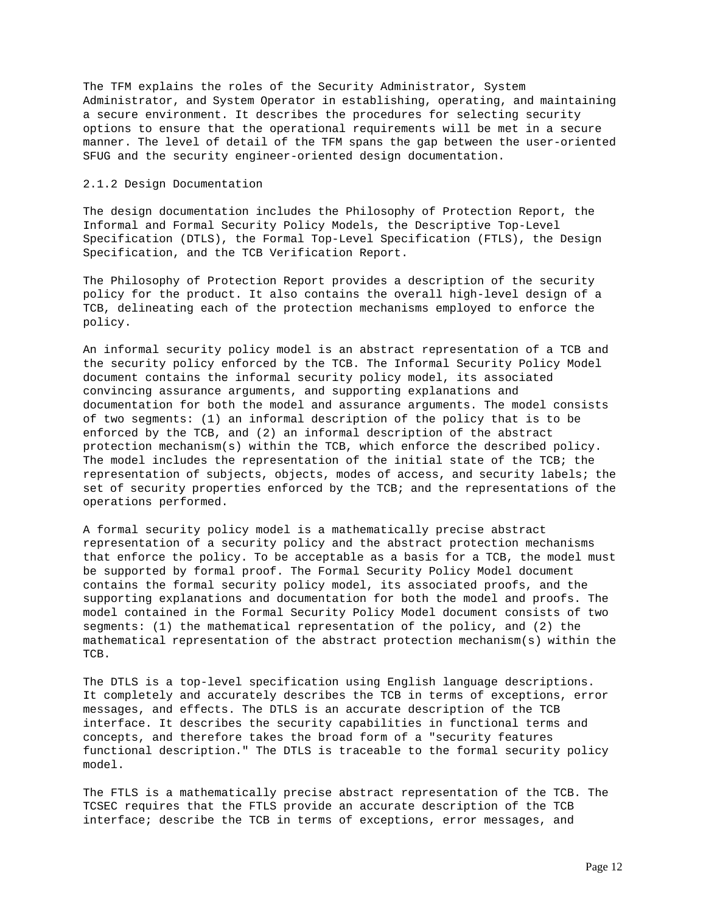The TFM explains the roles of the Security Administrator, System Administrator, and System Operator in establishing, operating, and maintaining a secure environment. It describes the procedures for selecting security options to ensure that the operational requirements will be met in a secure manner. The level of detail of the TFM spans the gap between the user-oriented SFUG and the security engineer-oriented design documentation.

# 2.1.2 Design Documentation

The design documentation includes the Philosophy of Protection Report, the Informal and Formal Security Policy Models, the Descriptive Top-Level Specification (DTLS), the Formal Top-Level Specification (FTLS), the Design Specification, and the TCB Verification Report.

The Philosophy of Protection Report provides a description of the security policy for the product. It also contains the overall high-level design of a TCB, delineating each of the protection mechanisms employed to enforce the policy.

An informal security policy model is an abstract representation of a TCB and the security policy enforced by the TCB. The Informal Security Policy Model document contains the informal security policy model, its associated convincing assurance arguments, and supporting explanations and documentation for both the model and assurance arguments. The model consists of two segments: (1) an informal description of the policy that is to be enforced by the TCB, and (2) an informal description of the abstract protection mechanism(s) within the TCB, which enforce the described policy. The model includes the representation of the initial state of the TCB; the representation of subjects, objects, modes of access, and security labels; the set of security properties enforced by the TCB; and the representations of the operations performed.

A formal security policy model is a mathematically precise abstract representation of a security policy and the abstract protection mechanisms that enforce the policy. To be acceptable as a basis for a TCB, the model must be supported by formal proof. The Formal Security Policy Model document contains the formal security policy model, its associated proofs, and the supporting explanations and documentation for both the model and proofs. The model contained in the Formal Security Policy Model document consists of two segments: (1) the mathematical representation of the policy, and (2) the mathematical representation of the abstract protection mechanism(s) within the TCB.

The DTLS is a top-level specification using English language descriptions. It completely and accurately describes the TCB in terms of exceptions, error messages, and effects. The DTLS is an accurate description of the TCB interface. It describes the security capabilities in functional terms and concepts, and therefore takes the broad form of a "security features functional description." The DTLS is traceable to the formal security policy model.

The FTLS is a mathematically precise abstract representation of the TCB. The TCSEC requires that the FTLS provide an accurate description of the TCB interface; describe the TCB in terms of exceptions, error messages, and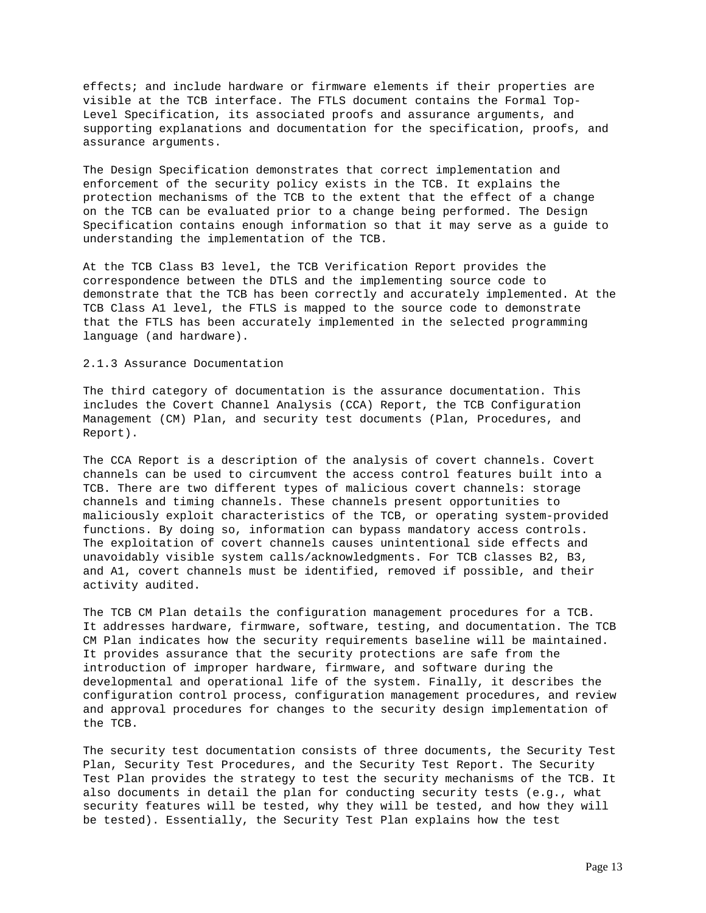effects; and include hardware or firmware elements if their properties are visible at the TCB interface. The FTLS document contains the Formal Top-Level Specification, its associated proofs and assurance arguments, and supporting explanations and documentation for the specification, proofs, and assurance arguments.

The Design Specification demonstrates that correct implementation and enforcement of the security policy exists in the TCB. It explains the protection mechanisms of the TCB to the extent that the effect of a change on the TCB can be evaluated prior to a change being performed. The Design Specification contains enough information so that it may serve as a guide to understanding the implementation of the TCB.

At the TCB Class B3 level, the TCB Verification Report provides the correspondence between the DTLS and the implementing source code to demonstrate that the TCB has been correctly and accurately implemented. At the TCB Class A1 level, the FTLS is mapped to the source code to demonstrate that the FTLS has been accurately implemented in the selected programming language (and hardware).

### 2.1.3 Assurance Documentation

The third category of documentation is the assurance documentation. This includes the Covert Channel Analysis (CCA) Report, the TCB Configuration Management (CM) Plan, and security test documents (Plan, Procedures, and Report).

The CCA Report is a description of the analysis of covert channels. Covert channels can be used to circumvent the access control features built into a TCB. There are two different types of malicious covert channels: storage channels and timing channels. These channels present opportunities to maliciously exploit characteristics of the TCB, or operating system-provided functions. By doing so, information can bypass mandatory access controls. The exploitation of covert channels causes unintentional side effects and unavoidably visible system calls/acknowledgments. For TCB classes B2, B3, and A1, covert channels must be identified, removed if possible, and their activity audited.

The TCB CM Plan details the configuration management procedures for a TCB. It addresses hardware, firmware, software, testing, and documentation. The TCB CM Plan indicates how the security requirements baseline will be maintained. It provides assurance that the security protections are safe from the introduction of improper hardware, firmware, and software during the developmental and operational life of the system. Finally, it describes the configuration control process, configuration management procedures, and review and approval procedures for changes to the security design implementation of the TCB.

The security test documentation consists of three documents, the Security Test Plan, Security Test Procedures, and the Security Test Report. The Security Test Plan provides the strategy to test the security mechanisms of the TCB. It also documents in detail the plan for conducting security tests (e.g., what security features will be tested, why they will be tested, and how they will be tested). Essentially, the Security Test Plan explains how the test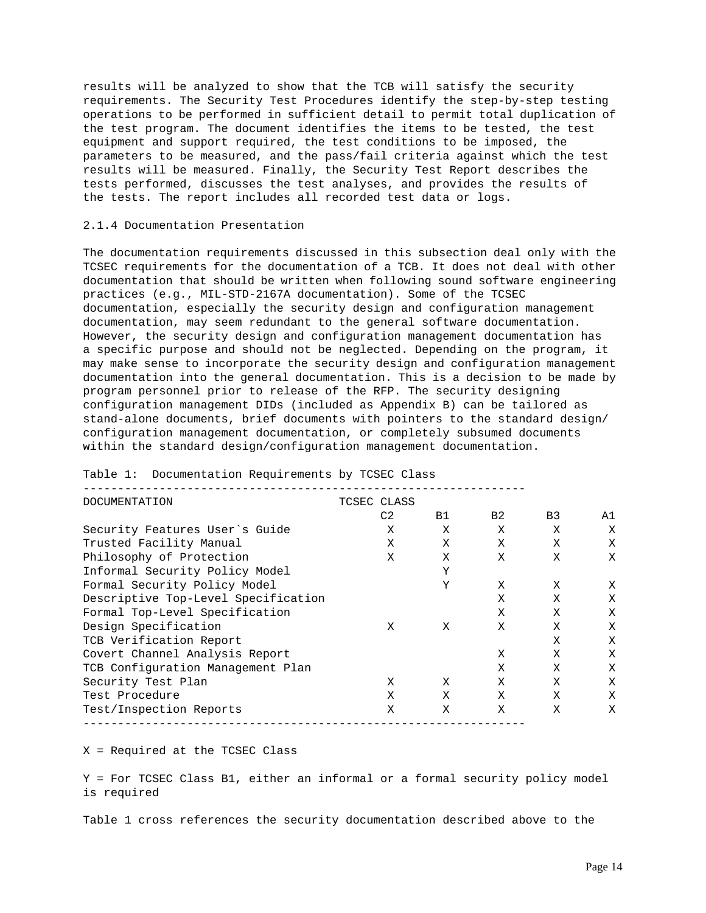results will be analyzed to show that the TCB will satisfy the security requirements. The Security Test Procedures identify the step-by-step testing operations to be performed in sufficient detail to permit total duplication of the test program. The document identifies the items to be tested, the test equipment and support required, the test conditions to be imposed, the parameters to be measured, and the pass/fail criteria against which the test results will be measured. Finally, the Security Test Report describes the tests performed, discusses the test analyses, and provides the results of the tests. The report includes all recorded test data or logs.

### 2.1.4 Documentation Presentation

The documentation requirements discussed in this subsection deal only with the TCSEC requirements for the documentation of a TCB. It does not deal with other documentation that should be written when following sound software engineering practices (e.g., MIL-STD-2167A documentation). Some of the TCSEC documentation, especially the security design and configuration management documentation, may seem redundant to the general software documentation. However, the security design and configuration management documentation has a specific purpose and should not be neglected. Depending on the program, it may make sense to incorporate the security design and configuration management documentation into the general documentation. This is a decision to be made by program personnel prior to release of the RFP. The security designing configuration management DIDs (included as Appendix B) can be tailored as stand-alone documents, brief documents with pointers to the standard design/ configuration management documentation, or completely subsumed documents within the standard design/configuration management documentation.

| <b>DOCUMENTATION</b>                | TCSEC CLASS |           |                |                |    |  |  |
|-------------------------------------|-------------|-----------|----------------|----------------|----|--|--|
|                                     | C2          | <b>B1</b> | B <sub>2</sub> | B <sub>3</sub> | A1 |  |  |
| Security Features User's Guide      | Χ           | X         | X              | X              | X  |  |  |
| Trusted Facility Manual             | X           | X         | X              | X              | Χ  |  |  |
| Philosophy of Protection            | X           | X         | X              | X              | Χ  |  |  |
| Informal Security Policy Model      |             | Y         |                |                |    |  |  |
| Formal Security Policy Model        |             | Y         | X              | X              | Χ  |  |  |
| Descriptive Top-Level Specification |             |           | X              | X              | Χ  |  |  |
| Formal Top-Level Specification      |             |           | X              | X              | Χ  |  |  |
| Design Specification                | X           | X         | Χ              | Χ              | Χ  |  |  |
| TCB Verification Report             |             |           |                | Χ              | Χ  |  |  |
| Covert Channel Analysis Report      |             |           | X              | X              | X  |  |  |
| TCB Configuration Management Plan   |             |           | X              | X              | X  |  |  |
| Security Test Plan                  | X           | X         | X              | X              | X  |  |  |
| Test Procedure                      | Χ           | Χ         | X              | X              | Χ  |  |  |
| Test/Inspection Reports             | X           | X         | X              | X              | Χ  |  |  |
|                                     |             |           |                |                |    |  |  |

Table 1: Documentation Requirements by TCSEC Class

X = Required at the TCSEC Class

Y = For TCSEC Class B1, either an informal or a formal security policy model is required

Table 1 cross references the security documentation described above to the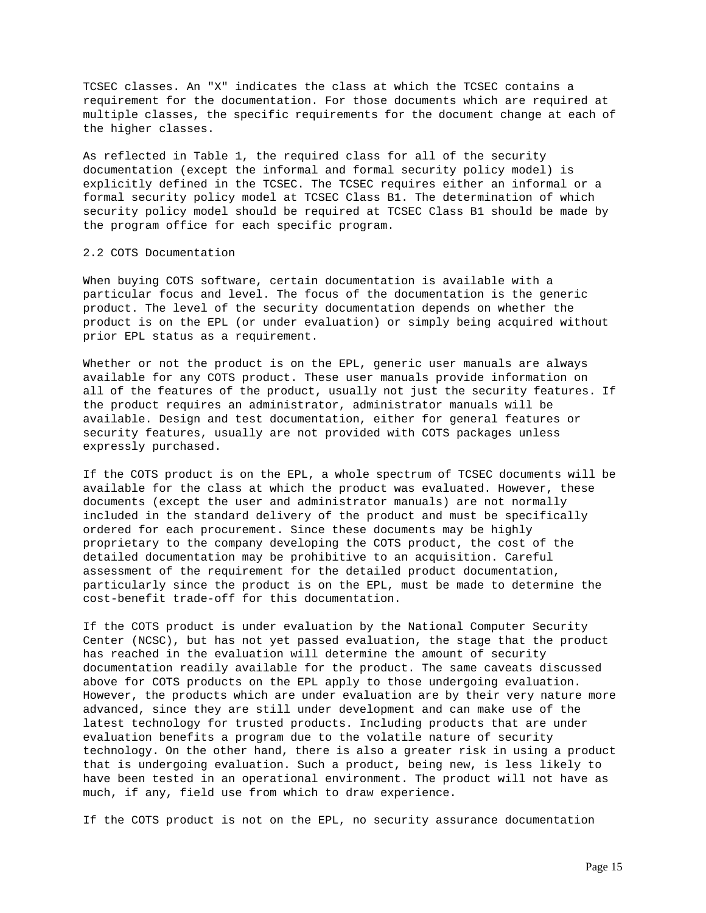TCSEC classes. An "X" indicates the class at which the TCSEC contains a requirement for the documentation. For those documents which are required at multiple classes, the specific requirements for the document change at each of the higher classes.

As reflected in Table 1, the required class for all of the security documentation (except the informal and formal security policy model) is explicitly defined in the TCSEC. The TCSEC requires either an informal or a formal security policy model at TCSEC Class B1. The determination of which security policy model should be required at TCSEC Class B1 should be made by the program office for each specific program.

## 2.2 COTS Documentation

When buying COTS software, certain documentation is available with a particular focus and level. The focus of the documentation is the generic product. The level of the security documentation depends on whether the product is on the EPL (or under evaluation) or simply being acquired without prior EPL status as a requirement.

Whether or not the product is on the EPL, generic user manuals are always available for any COTS product. These user manuals provide information on all of the features of the product, usually not just the security features. If the product requires an administrator, administrator manuals will be available. Design and test documentation, either for general features or security features, usually are not provided with COTS packages unless expressly purchased.

If the COTS product is on the EPL, a whole spectrum of TCSEC documents will be available for the class at which the product was evaluated. However, these documents (except the user and administrator manuals) are not normally included in the standard delivery of the product and must be specifically ordered for each procurement. Since these documents may be highly proprietary to the company developing the COTS product, the cost of the detailed documentation may be prohibitive to an acquisition. Careful assessment of the requirement for the detailed product documentation, particularly since the product is on the EPL, must be made to determine the cost-benefit trade-off for this documentation.

If the COTS product is under evaluation by the National Computer Security Center (NCSC), but has not yet passed evaluation, the stage that the product has reached in the evaluation will determine the amount of security documentation readily available for the product. The same caveats discussed above for COTS products on the EPL apply to those undergoing evaluation. However, the products which are under evaluation are by their very nature more advanced, since they are still under development and can make use of the latest technology for trusted products. Including products that are under evaluation benefits a program due to the volatile nature of security technology. On the other hand, there is also a greater risk in using a product that is undergoing evaluation. Such a product, being new, is less likely to have been tested in an operational environment. The product will not have as much, if any, field use from which to draw experience.

If the COTS product is not on the EPL, no security assurance documentation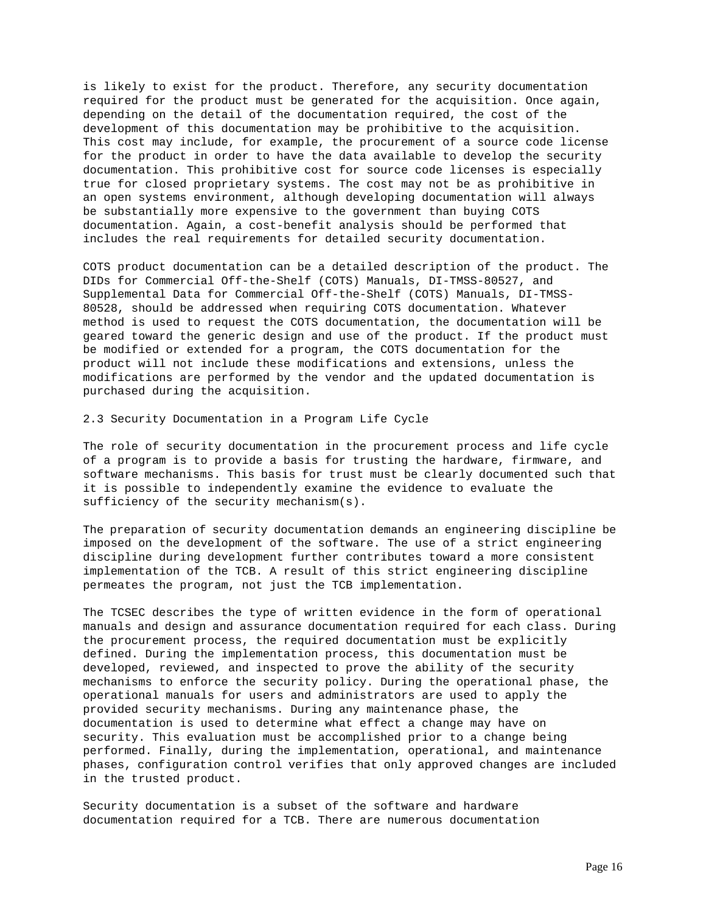is likely to exist for the product. Therefore, any security documentation required for the product must be generated for the acquisition. Once again, depending on the detail of the documentation required, the cost of the development of this documentation may be prohibitive to the acquisition. This cost may include, for example, the procurement of a source code license for the product in order to have the data available to develop the security documentation. This prohibitive cost for source code licenses is especially true for closed proprietary systems. The cost may not be as prohibitive in an open systems environment, although developing documentation will always be substantially more expensive to the government than buying COTS documentation. Again, a cost-benefit analysis should be performed that includes the real requirements for detailed security documentation.

COTS product documentation can be a detailed description of the product. The DIDs for Commercial Off-the-Shelf (COTS) Manuals, DI-TMSS-80527, and Supplemental Data for Commercial Off-the-Shelf (COTS) Manuals, DI-TMSS-80528, should be addressed when requiring COTS documentation. Whatever method is used to request the COTS documentation, the documentation will be geared toward the generic design and use of the product. If the product must be modified or extended for a program, the COTS documentation for the product will not include these modifications and extensions, unless the modifications are performed by the vendor and the updated documentation is purchased during the acquisition.

2.3 Security Documentation in a Program Life Cycle

The role of security documentation in the procurement process and life cycle of a program is to provide a basis for trusting the hardware, firmware, and software mechanisms. This basis for trust must be clearly documented such that it is possible to independently examine the evidence to evaluate the sufficiency of the security mechanism(s).

The preparation of security documentation demands an engineering discipline be imposed on the development of the software. The use of a strict engineering discipline during development further contributes toward a more consistent implementation of the TCB. A result of this strict engineering discipline permeates the program, not just the TCB implementation.

The TCSEC describes the type of written evidence in the form of operational manuals and design and assurance documentation required for each class. During the procurement process, the required documentation must be explicitly defined. During the implementation process, this documentation must be developed, reviewed, and inspected to prove the ability of the security mechanisms to enforce the security policy. During the operational phase, the operational manuals for users and administrators are used to apply the provided security mechanisms. During any maintenance phase, the documentation is used to determine what effect a change may have on security. This evaluation must be accomplished prior to a change being performed. Finally, during the implementation, operational, and maintenance phases, configuration control verifies that only approved changes are included in the trusted product.

Security documentation is a subset of the software and hardware documentation required for a TCB. There are numerous documentation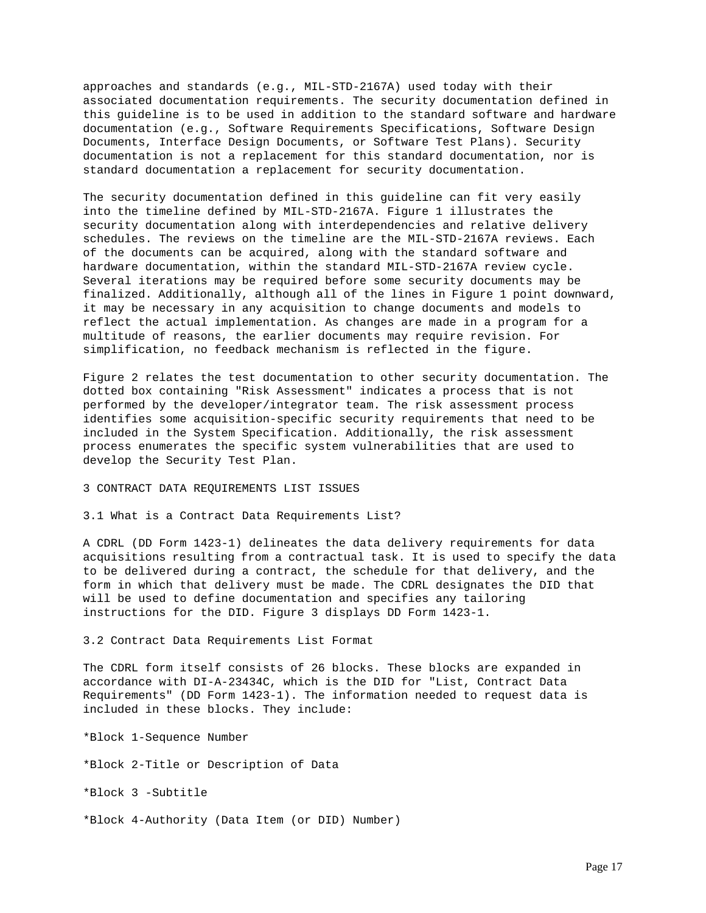approaches and standards (e.g., MIL-STD-2167A) used today with their associated documentation requirements. The security documentation defined in this guideline is to be used in addition to the standard software and hardware documentation (e.g., Software Requirements Specifications, Software Design Documents, Interface Design Documents, or Software Test Plans). Security documentation is not a replacement for this standard documentation, nor is standard documentation a replacement for security documentation.

The security documentation defined in this guideline can fit very easily into the timeline defined by MIL-STD-2167A. Figure 1 illustrates the security documentation along with interdependencies and relative delivery schedules. The reviews on the timeline are the MIL-STD-2167A reviews. Each of the documents can be acquired, along with the standard software and hardware documentation, within the standard MIL-STD-2167A review cycle. Several iterations may be required before some security documents may be finalized. Additionally, although all of the lines in Figure 1 point downward, it may be necessary in any acquisition to change documents and models to reflect the actual implementation. As changes are made in a program for a multitude of reasons, the earlier documents may require revision. For simplification, no feedback mechanism is reflected in the figure.

Figure 2 relates the test documentation to other security documentation. The dotted box containing "Risk Assessment" indicates a process that is not performed by the developer/integrator team. The risk assessment process identifies some acquisition-specific security requirements that need to be included in the System Specification. Additionally, the risk assessment process enumerates the specific system vulnerabilities that are used to develop the Security Test Plan.

3 CONTRACT DATA REQUIREMENTS LIST ISSUES

3.1 What is a Contract Data Requirements List?

A CDRL (DD Form 1423-1) delineates the data delivery requirements for data acquisitions resulting from a contractual task. It is used to specify the data to be delivered during a contract, the schedule for that delivery, and the form in which that delivery must be made. The CDRL designates the DID that will be used to define documentation and specifies any tailoring instructions for the DID. Figure 3 displays DD Form 1423-1.

3.2 Contract Data Requirements List Format

The CDRL form itself consists of 26 blocks. These blocks are expanded in accordance with DI-A-23434C, which is the DID for "List, Contract Data Requirements" (DD Form 1423-1). The information needed to request data is included in these blocks. They include:

\*Block 1-Sequence Number \*Block 2-Title or Description of Data \*Block 3 -Subtitle \*Block 4-Authority (Data Item (or DID) Number)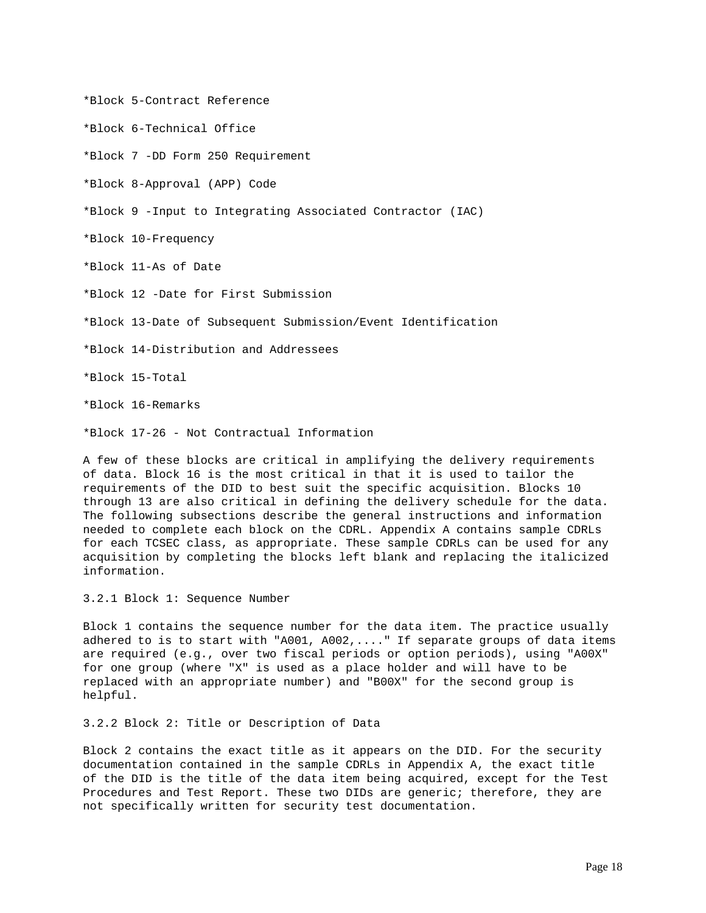\*Block 5-Contract Reference

\*Block 6-Technical Office

\*Block 7 -DD Form 250 Requirement

\*Block 8-Approval (APP) Code

\*Block 9 -Input to Integrating Associated Contractor (IAC)

\*Block 10-Frequency

\*Block 11-As of Date

\*Block 12 -Date for First Submission

\*Block 13-Date of Subsequent Submission/Event Identification

\*Block 14-Distribution and Addressees

\*Block 15-Total

\*Block 16-Remarks

\*Block 17-26 - Not Contractual Information

A few of these blocks are critical in amplifying the delivery requirements of data. Block 16 is the most critical in that it is used to tailor the requirements of the DID to best suit the specific acquisition. Blocks 10 through 13 are also critical in defining the delivery schedule for the data. The following subsections describe the general instructions and information needed to complete each block on the CDRL. Appendix A contains sample CDRLs for each TCSEC class, as appropriate. These sample CDRLs can be used for any acquisition by completing the blocks left blank and replacing the italicized information.

3.2.1 Block 1: Sequence Number

Block 1 contains the sequence number for the data item. The practice usually adhered to is to start with "A001, A002,...." If separate groups of data items are required (e.g., over two fiscal periods or option periods), using "A00X" for one group (where "X" is used as a place holder and will have to be replaced with an appropriate number) and "B00X" for the second group is helpful.

3.2.2 Block 2: Title or Description of Data

Block 2 contains the exact title as it appears on the DID. For the security documentation contained in the sample CDRLs in Appendix A, the exact title of the DID is the title of the data item being acquired, except for the Test Procedures and Test Report. These two DIDs are generic; therefore, they are not specifically written for security test documentation.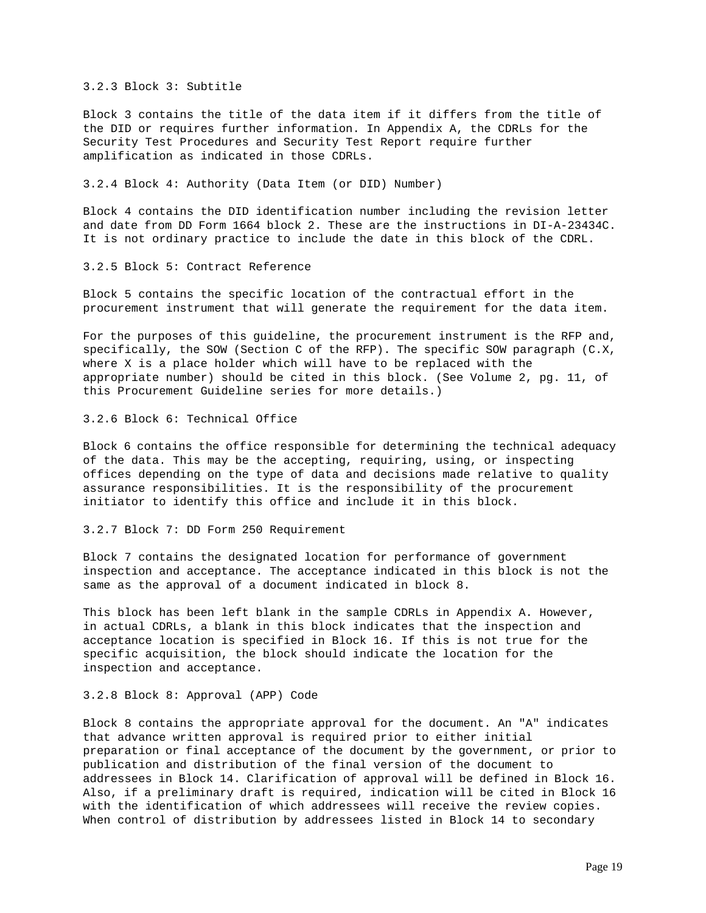3.2.3 Block 3: Subtitle

Block 3 contains the title of the data item if it differs from the title of the DID or requires further information. In Appendix A, the CDRLs for the Security Test Procedures and Security Test Report require further amplification as indicated in those CDRLs.

### 3.2.4 Block 4: Authority (Data Item (or DID) Number)

Block 4 contains the DID identification number including the revision letter and date from DD Form 1664 block 2. These are the instructions in DI-A-23434C. It is not ordinary practice to include the date in this block of the CDRL.

## 3.2.5 Block 5: Contract Reference

Block 5 contains the specific location of the contractual effort in the procurement instrument that will generate the requirement for the data item.

For the purposes of this guideline, the procurement instrument is the RFP and, specifically, the SOW (Section C of the RFP). The specific SOW paragraph (C.X, where X is a place holder which will have to be replaced with the appropriate number) should be cited in this block. (See Volume 2, pg. 11, of this Procurement Guideline series for more details.)

# 3.2.6 Block 6: Technical Office

Block 6 contains the office responsible for determining the technical adequacy of the data. This may be the accepting, requiring, using, or inspecting offices depending on the type of data and decisions made relative to quality assurance responsibilities. It is the responsibility of the procurement initiator to identify this office and include it in this block.

### 3.2.7 Block 7: DD Form 250 Requirement

Block 7 contains the designated location for performance of government inspection and acceptance. The acceptance indicated in this block is not the same as the approval of a document indicated in block 8.

This block has been left blank in the sample CDRLs in Appendix A. However, in actual CDRLs, a blank in this block indicates that the inspection and acceptance location is specified in Block 16. If this is not true for the specific acquisition, the block should indicate the location for the inspection and acceptance.

## 3.2.8 Block 8: Approval (APP) Code

Block 8 contains the appropriate approval for the document. An "A" indicates that advance written approval is required prior to either initial preparation or final acceptance of the document by the government, or prior to publication and distribution of the final version of the document to addressees in Block 14. Clarification of approval will be defined in Block 16. Also, if a preliminary draft is required, indication will be cited in Block 16 with the identification of which addressees will receive the review copies. When control of distribution by addressees listed in Block 14 to secondary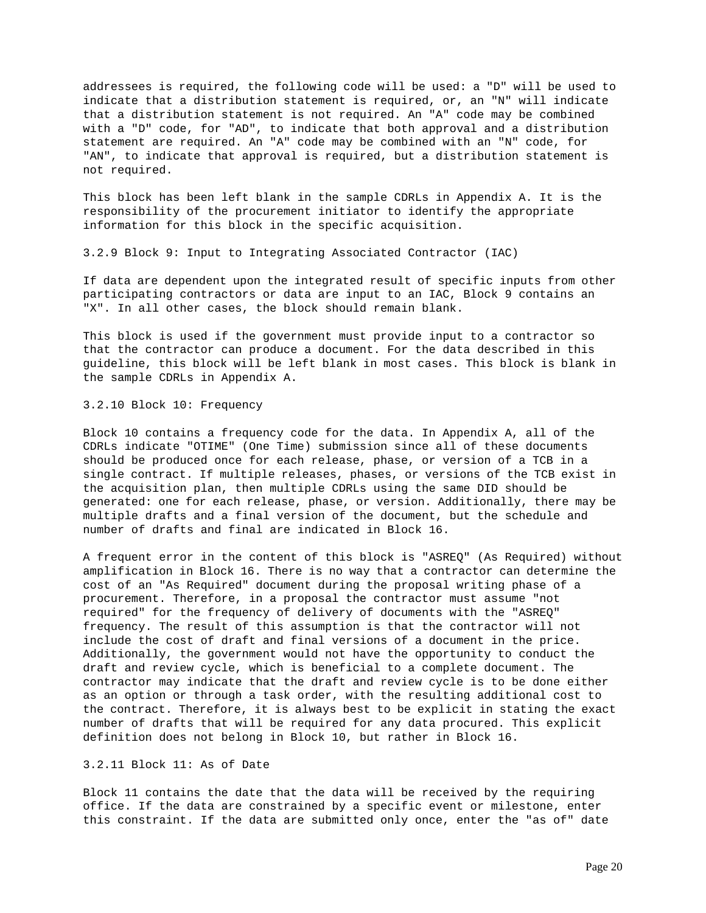addressees is required, the following code will be used: a "D" will be used to indicate that a distribution statement is required, or, an "N" will indicate that a distribution statement is not required. An "A" code may be combined with a "D" code, for "AD", to indicate that both approval and a distribution statement are required. An "A" code may be combined with an "N" code, for "AN", to indicate that approval is required, but a distribution statement is not required.

This block has been left blank in the sample CDRLs in Appendix A. It is the responsibility of the procurement initiator to identify the appropriate information for this block in the specific acquisition.

3.2.9 Block 9: Input to Integrating Associated Contractor (IAC)

If data are dependent upon the integrated result of specific inputs from other participating contractors or data are input to an IAC, Block 9 contains an "X". In all other cases, the block should remain blank.

This block is used if the government must provide input to a contractor so that the contractor can produce a document. For the data described in this guideline, this block will be left blank in most cases. This block is blank in the sample CDRLs in Appendix A.

3.2.10 Block 10: Frequency

Block 10 contains a frequency code for the data. In Appendix A, all of the CDRLs indicate "OTIME" (One Time) submission since all of these documents should be produced once for each release, phase, or version of a TCB in a single contract. If multiple releases, phases, or versions of the TCB exist in the acquisition plan, then multiple CDRLs using the same DID should be generated: one for each release, phase, or version. Additionally, there may be multiple drafts and a final version of the document, but the schedule and number of drafts and final are indicated in Block 16.

A frequent error in the content of this block is "ASREQ" (As Required) without amplification in Block 16. There is no way that a contractor can determine the cost of an "As Required" document during the proposal writing phase of a procurement. Therefore, in a proposal the contractor must assume "not required" for the frequency of delivery of documents with the "ASREQ" frequency. The result of this assumption is that the contractor will not include the cost of draft and final versions of a document in the price. Additionally, the government would not have the opportunity to conduct the draft and review cycle, which is beneficial to a complete document. The contractor may indicate that the draft and review cycle is to be done either as an option or through a task order, with the resulting additional cost to the contract. Therefore, it is always best to be explicit in stating the exact number of drafts that will be required for any data procured. This explicit definition does not belong in Block 10, but rather in Block 16.

# 3.2.11 Block 11: As of Date

Block 11 contains the date that the data will be received by the requiring office. If the data are constrained by a specific event or milestone, enter this constraint. If the data are submitted only once, enter the "as of" date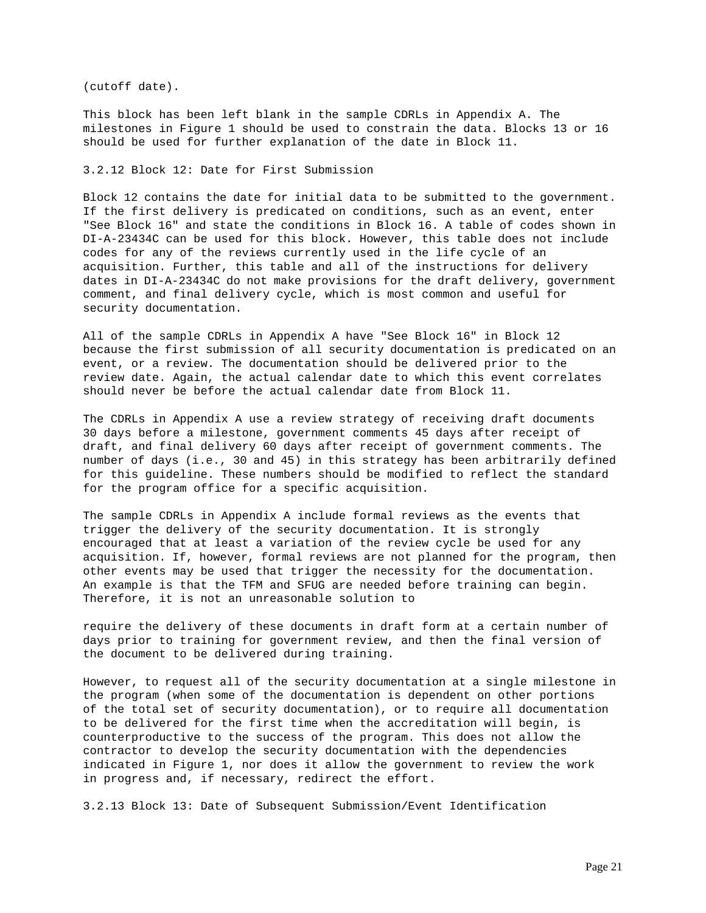(cutoff date).

This block has been left blank in the sample CDRLs in Appendix A. The milestones in Figure 1 should be used to constrain the data. Blocks 13 or 16 should be used for further explanation of the date in Block 11.

3.2.12 Block 12: Date for First Submission

Block 12 contains the date for initial data to be submitted to the government. If the first delivery is predicated on conditions, such as an event, enter "See Block 16" and state the conditions in Block 16. A table of codes shown in DI-A-23434C can be used for this block. However, this table does not include codes for any of the reviews currently used in the life cycle of an acquisition. Further, this table and all of the instructions for delivery dates in DI-A-23434C do not make provisions for the draft delivery, government comment, and final delivery cycle, which is most common and useful for security documentation.

All of the sample CDRLs in Appendix A have "See Block 16" in Block 12 because the first submission of all security documentation is predicated on an event, or a review. The documentation should be delivered prior to the review date. Again, the actual calendar date to which this event correlates should never be before the actual calendar date from Block 11.

The CDRLs in Appendix A use a review strategy of receiving draft documents 30 days before a milestone, government comments 45 days after receipt of draft, and final delivery 60 days after receipt of government comments. The number of days (i.e., 30 and 45) in this strategy has been arbitrarily defined for this guideline. These numbers should be modified to reflect the standard for the program office for a specific acquisition.

The sample CDRLs in Appendix A include formal reviews as the events that trigger the delivery of the security documentation. It is strongly encouraged that at least a variation of the review cycle be used for any acquisition. If, however, formal reviews are not planned for the program, then other events may be used that trigger the necessity for the documentation. An example is that the TFM and SFUG are needed before training can begin. Therefore, it is not an unreasonable solution to

require the delivery of these documents in draft form at a certain number of days prior to training for government review, and then the final version of the document to be delivered during training.

However, to request all of the security documentation at a single milestone in the program (when some of the documentation is dependent on other portions of the total set of security documentation), or to require all documentation to be delivered for the first time when the accreditation will begin, is counterproductive to the success of the program. This does not allow the contractor to develop the security documentation with the dependencies indicated in Figure 1, nor does it allow the government to review the work in progress and, if necessary, redirect the effort.

3.2.13 Block 13: Date of Subsequent Submission/Event Identification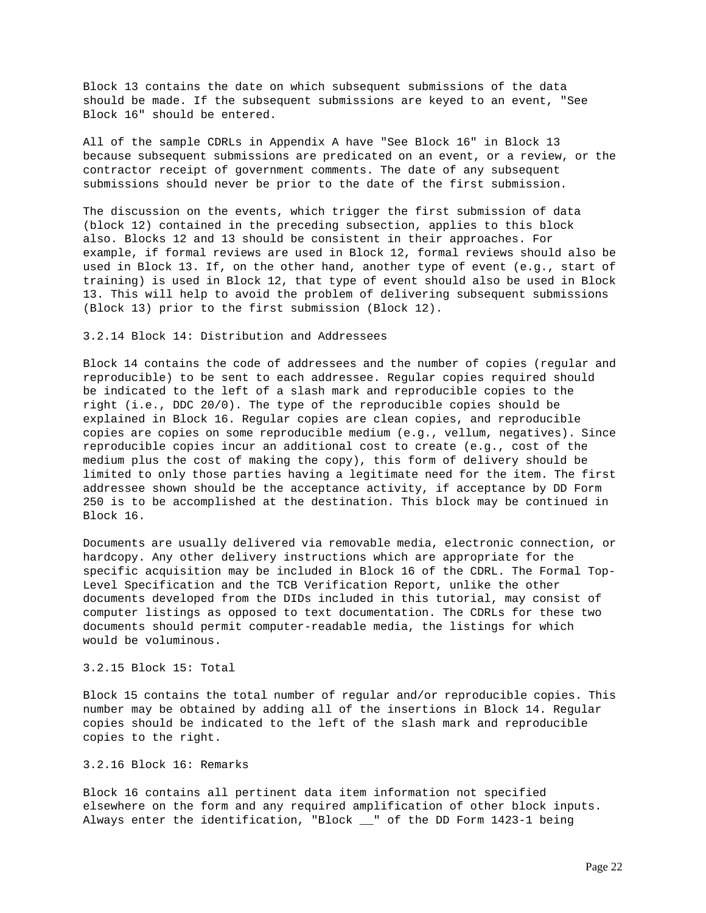Block 13 contains the date on which subsequent submissions of the data should be made. If the subsequent submissions are keyed to an event, "See Block 16" should be entered.

All of the sample CDRLs in Appendix A have "See Block 16" in Block 13 because subsequent submissions are predicated on an event, or a review, or the contractor receipt of government comments. The date of any subsequent submissions should never be prior to the date of the first submission.

The discussion on the events, which trigger the first submission of data (block 12) contained in the preceding subsection, applies to this block also. Blocks 12 and 13 should be consistent in their approaches. For example, if formal reviews are used in Block 12, formal reviews should also be used in Block 13. If, on the other hand, another type of event (e.g., start of training) is used in Block 12, that type of event should also be used in Block 13. This will help to avoid the problem of delivering subsequent submissions (Block 13) prior to the first submission (Block 12).

## 3.2.14 Block 14: Distribution and Addressees

Block 14 contains the code of addressees and the number of copies (regular and reproducible) to be sent to each addressee. Regular copies required should be indicated to the left of a slash mark and reproducible copies to the right (i.e., DDC 20/0). The type of the reproducible copies should be explained in Block 16. Regular copies are clean copies, and reproducible copies are copies on some reproducible medium (e.g., vellum, negatives). Since reproducible copies incur an additional cost to create (e.g., cost of the medium plus the cost of making the copy), this form of delivery should be limited to only those parties having a legitimate need for the item. The first addressee shown should be the acceptance activity, if acceptance by DD Form 250 is to be accomplished at the destination. This block may be continued in Block 16.

Documents are usually delivered via removable media, electronic connection, or hardcopy. Any other delivery instructions which are appropriate for the specific acquisition may be included in Block 16 of the CDRL. The Formal Top-Level Specification and the TCB Verification Report, unlike the other documents developed from the DIDs included in this tutorial, may consist of computer listings as opposed to text documentation. The CDRLs for these two documents should permit computer-readable media, the listings for which would be voluminous.

# 3.2.15 Block 15: Total

Block 15 contains the total number of regular and/or reproducible copies. This number may be obtained by adding all of the insertions in Block 14. Regular copies should be indicated to the left of the slash mark and reproducible copies to the right.

# 3.2.16 Block 16: Remarks

Block 16 contains all pertinent data item information not specified elsewhere on the form and any required amplification of other block inputs. Always enter the identification, "Block \_\_" of the DD Form 1423-1 being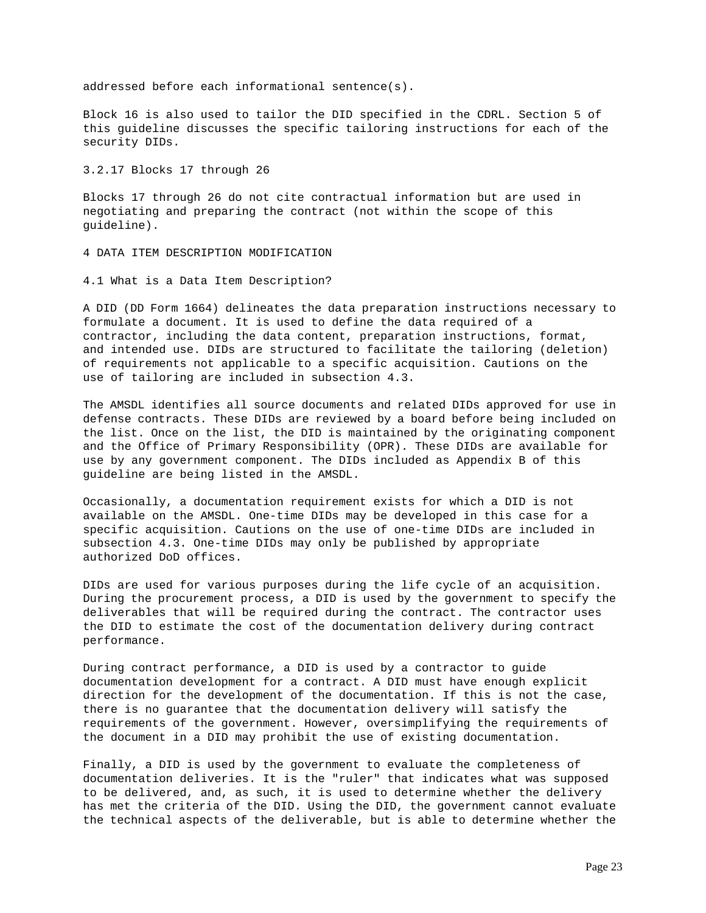addressed before each informational sentence(s).

Block 16 is also used to tailor the DID specified in the CDRL. Section 5 of this guideline discusses the specific tailoring instructions for each of the security DIDs.

3.2.17 Blocks 17 through 26

Blocks 17 through 26 do not cite contractual information but are used in negotiating and preparing the contract (not within the scope of this guideline).

4 DATA ITEM DESCRIPTION MODIFICATION

4.1 What is a Data Item Description?

A DID (DD Form 1664) delineates the data preparation instructions necessary to formulate a document. It is used to define the data required of a contractor, including the data content, preparation instructions, format, and intended use. DIDs are structured to facilitate the tailoring (deletion) of requirements not applicable to a specific acquisition. Cautions on the use of tailoring are included in subsection 4.3.

The AMSDL identifies all source documents and related DIDs approved for use in defense contracts. These DIDs are reviewed by a board before being included on the list. Once on the list, the DID is maintained by the originating component and the Office of Primary Responsibility (OPR). These DIDs are available for use by any government component. The DIDs included as Appendix B of this guideline are being listed in the AMSDL.

Occasionally, a documentation requirement exists for which a DID is not available on the AMSDL. One-time DIDs may be developed in this case for a specific acquisition. Cautions on the use of one-time DIDs are included in subsection 4.3. One-time DIDs may only be published by appropriate authorized DoD offices.

DIDs are used for various purposes during the life cycle of an acquisition. During the procurement process, a DID is used by the government to specify the deliverables that will be required during the contract. The contractor uses the DID to estimate the cost of the documentation delivery during contract performance.

During contract performance, a DID is used by a contractor to guide documentation development for a contract. A DID must have enough explicit direction for the development of the documentation. If this is not the case, there is no guarantee that the documentation delivery will satisfy the requirements of the government. However, oversimplifying the requirements of the document in a DID may prohibit the use of existing documentation.

Finally, a DID is used by the government to evaluate the completeness of documentation deliveries. It is the "ruler" that indicates what was supposed to be delivered, and, as such, it is used to determine whether the delivery has met the criteria of the DID. Using the DID, the government cannot evaluate the technical aspects of the deliverable, but is able to determine whether the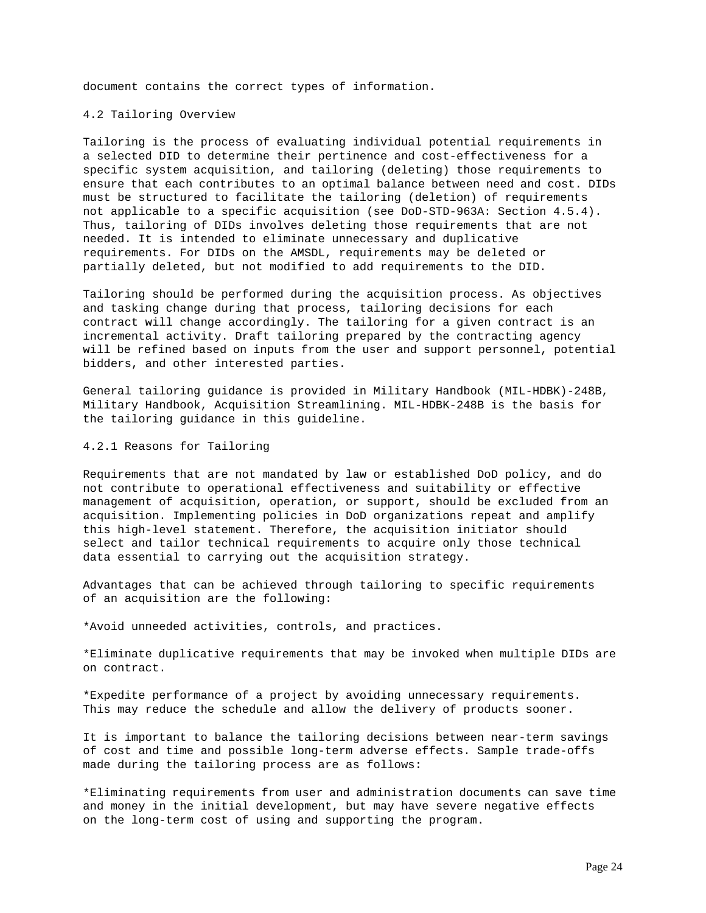document contains the correct types of information.

### 4.2 Tailoring Overview

Tailoring is the process of evaluating individual potential requirements in a selected DID to determine their pertinence and cost-effectiveness for a specific system acquisition, and tailoring (deleting) those requirements to ensure that each contributes to an optimal balance between need and cost. DIDs must be structured to facilitate the tailoring (deletion) of requirements not applicable to a specific acquisition (see DoD-STD-963A: Section 4.5.4). Thus, tailoring of DIDs involves deleting those requirements that are not needed. It is intended to eliminate unnecessary and duplicative requirements. For DIDs on the AMSDL, requirements may be deleted or partially deleted, but not modified to add requirements to the DID.

Tailoring should be performed during the acquisition process. As objectives and tasking change during that process, tailoring decisions for each contract will change accordingly. The tailoring for a given contract is an incremental activity. Draft tailoring prepared by the contracting agency will be refined based on inputs from the user and support personnel, potential bidders, and other interested parties.

General tailoring guidance is provided in Military Handbook (MIL-HDBK)-248B, Military Handbook, Acquisition Streamlining. MIL-HDBK-248B is the basis for the tailoring guidance in this guideline.

### 4.2.1 Reasons for Tailoring

Requirements that are not mandated by law or established DoD policy, and do not contribute to operational effectiveness and suitability or effective management of acquisition, operation, or support, should be excluded from an acquisition. Implementing policies in DoD organizations repeat and amplify this high-level statement. Therefore, the acquisition initiator should select and tailor technical requirements to acquire only those technical data essential to carrying out the acquisition strategy.

Advantages that can be achieved through tailoring to specific requirements of an acquisition are the following:

\*Avoid unneeded activities, controls, and practices.

\*Eliminate duplicative requirements that may be invoked when multiple DIDs are on contract.

\*Expedite performance of a project by avoiding unnecessary requirements. This may reduce the schedule and allow the delivery of products sooner.

It is important to balance the tailoring decisions between near-term savings of cost and time and possible long-term adverse effects. Sample trade-offs made during the tailoring process are as follows:

\*Eliminating requirements from user and administration documents can save time and money in the initial development, but may have severe negative effects on the long-term cost of using and supporting the program.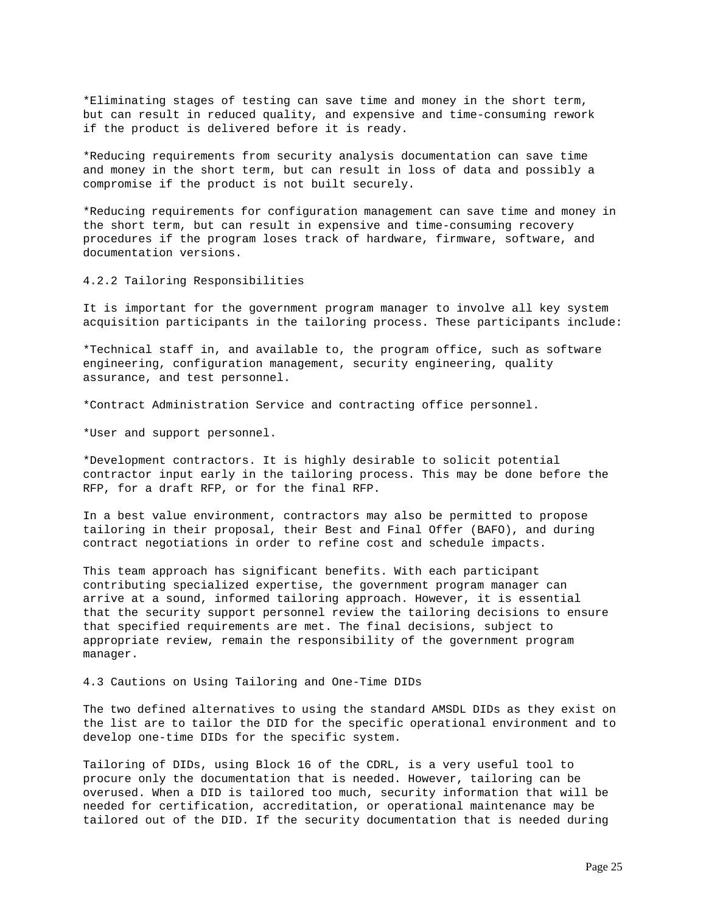\*Eliminating stages of testing can save time and money in the short term, but can result in reduced quality, and expensive and time-consuming rework if the product is delivered before it is ready.

\*Reducing requirements from security analysis documentation can save time and money in the short term, but can result in loss of data and possibly a compromise if the product is not built securely.

\*Reducing requirements for configuration management can save time and money in the short term, but can result in expensive and time-consuming recovery procedures if the program loses track of hardware, firmware, software, and documentation versions.

4.2.2 Tailoring Responsibilities

It is important for the government program manager to involve all key system acquisition participants in the tailoring process. These participants include:

\*Technical staff in, and available to, the program office, such as software engineering, configuration management, security engineering, quality assurance, and test personnel.

\*Contract Administration Service and contracting office personnel.

\*User and support personnel.

\*Development contractors. It is highly desirable to solicit potential contractor input early in the tailoring process. This may be done before the RFP, for a draft RFP, or for the final RFP.

In a best value environment, contractors may also be permitted to propose tailoring in their proposal, their Best and Final Offer (BAFO), and during contract negotiations in order to refine cost and schedule impacts.

This team approach has significant benefits. With each participant contributing specialized expertise, the government program manager can arrive at a sound, informed tailoring approach. However, it is essential that the security support personnel review the tailoring decisions to ensure that specified requirements are met. The final decisions, subject to appropriate review, remain the responsibility of the government program manager.

## 4.3 Cautions on Using Tailoring and One-Time DIDs

The two defined alternatives to using the standard AMSDL DIDs as they exist on the list are to tailor the DID for the specific operational environment and to develop one-time DIDs for the specific system.

Tailoring of DIDs, using Block 16 of the CDRL, is a very useful tool to procure only the documentation that is needed. However, tailoring can be overused. When a DID is tailored too much, security information that will be needed for certification, accreditation, or operational maintenance may be tailored out of the DID. If the security documentation that is needed during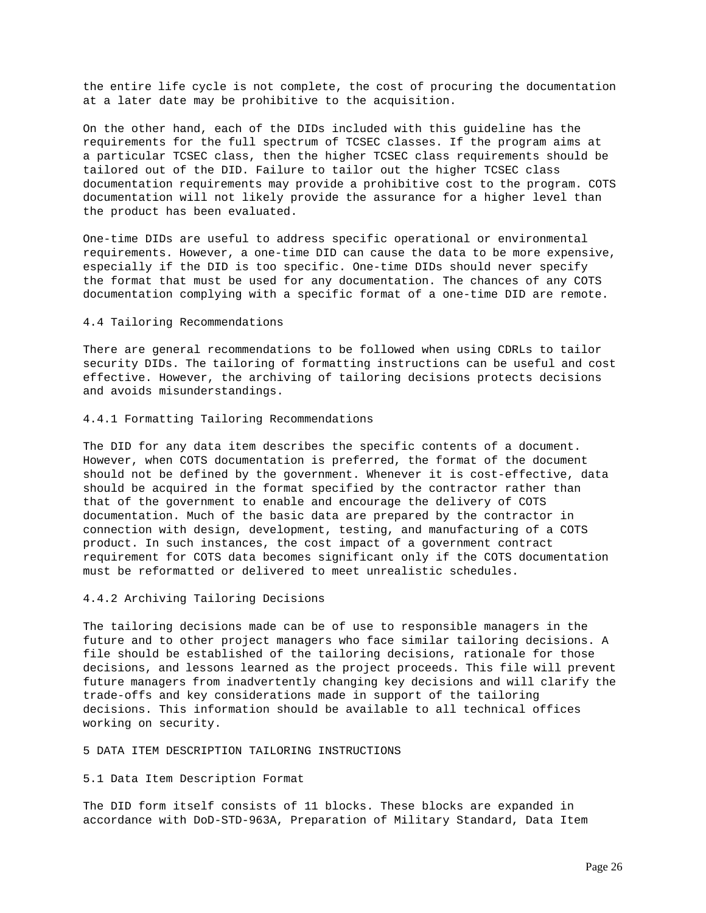the entire life cycle is not complete, the cost of procuring the documentation at a later date may be prohibitive to the acquisition.

On the other hand, each of the DIDs included with this guideline has the requirements for the full spectrum of TCSEC classes. If the program aims at a particular TCSEC class, then the higher TCSEC class requirements should be tailored out of the DID. Failure to tailor out the higher TCSEC class documentation requirements may provide a prohibitive cost to the program. COTS documentation will not likely provide the assurance for a higher level than the product has been evaluated.

One-time DIDs are useful to address specific operational or environmental requirements. However, a one-time DID can cause the data to be more expensive, especially if the DID is too specific. One-time DIDs should never specify the format that must be used for any documentation. The chances of any COTS documentation complying with a specific format of a one-time DID are remote.

## 4.4 Tailoring Recommendations

There are general recommendations to be followed when using CDRLs to tailor security DIDs. The tailoring of formatting instructions can be useful and cost effective. However, the archiving of tailoring decisions protects decisions and avoids misunderstandings.

#### 4.4.1 Formatting Tailoring Recommendations

The DID for any data item describes the specific contents of a document. However, when COTS documentation is preferred, the format of the document should not be defined by the government. Whenever it is cost-effective, data should be acquired in the format specified by the contractor rather than that of the government to enable and encourage the delivery of COTS documentation. Much of the basic data are prepared by the contractor in connection with design, development, testing, and manufacturing of a COTS product. In such instances, the cost impact of a government contract requirement for COTS data becomes significant only if the COTS documentation must be reformatted or delivered to meet unrealistic schedules.

### 4.4.2 Archiving Tailoring Decisions

The tailoring decisions made can be of use to responsible managers in the future and to other project managers who face similar tailoring decisions. A file should be established of the tailoring decisions, rationale for those decisions, and lessons learned as the project proceeds. This file will prevent future managers from inadvertently changing key decisions and will clarify the trade-offs and key considerations made in support of the tailoring decisions. This information should be available to all technical offices working on security.

#### 5 DATA ITEM DESCRIPTION TAILORING INSTRUCTIONS

## 5.1 Data Item Description Format

The DID form itself consists of 11 blocks. These blocks are expanded in accordance with DoD-STD-963A, Preparation of Military Standard, Data Item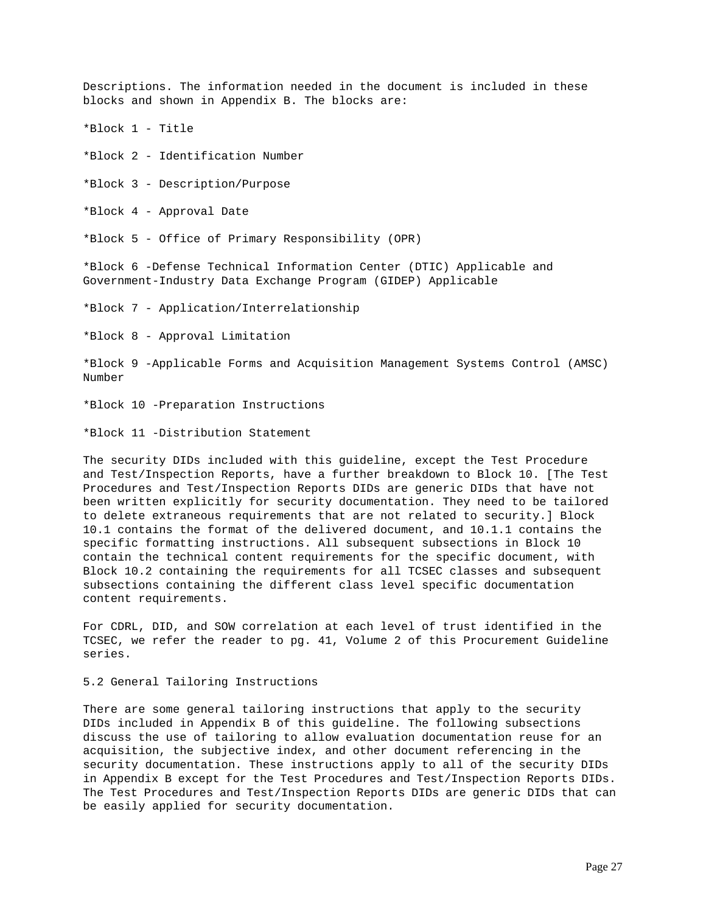Descriptions. The information needed in the document is included in these blocks and shown in Appendix B. The blocks are:

\*Block 1 - Title

\*Block 2 - Identification Number

\*Block 3 - Description/Purpose

\*Block 4 - Approval Date

\*Block 5 - Office of Primary Responsibility (OPR)

\*Block 6 -Defense Technical Information Center (DTIC) Applicable and Government-Industry Data Exchange Program (GIDEP) Applicable

\*Block 7 - Application/Interrelationship

\*Block 8 - Approval Limitation

\*Block 9 -Applicable Forms and Acquisition Management Systems Control (AMSC) Number

\*Block 10 -Preparation Instructions

\*Block 11 -Distribution Statement

The security DIDs included with this guideline, except the Test Procedure and Test/Inspection Reports, have a further breakdown to Block 10. [The Test Procedures and Test/Inspection Reports DIDs are generic DIDs that have not been written explicitly for security documentation. They need to be tailored to delete extraneous requirements that are not related to security.] Block 10.1 contains the format of the delivered document, and 10.1.1 contains the specific formatting instructions. All subsequent subsections in Block 10 contain the technical content requirements for the specific document, with Block 10.2 containing the requirements for all TCSEC classes and subsequent subsections containing the different class level specific documentation content requirements.

For CDRL, DID, and SOW correlation at each level of trust identified in the TCSEC, we refer the reader to pg. 41, Volume 2 of this Procurement Guideline series.

# 5.2 General Tailoring Instructions

There are some general tailoring instructions that apply to the security DIDs included in Appendix B of this guideline. The following subsections discuss the use of tailoring to allow evaluation documentation reuse for an acquisition, the subjective index, and other document referencing in the security documentation. These instructions apply to all of the security DIDs in Appendix B except for the Test Procedures and Test/Inspection Reports DIDs. The Test Procedures and Test/Inspection Reports DIDs are generic DIDs that can be easily applied for security documentation.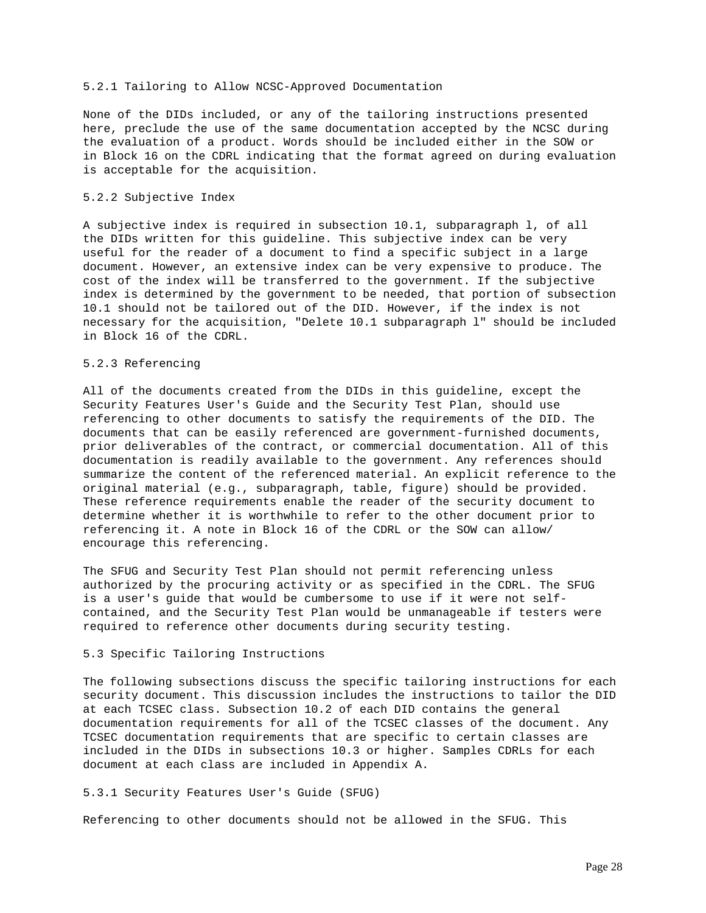#### 5.2.1 Tailoring to Allow NCSC-Approved Documentation

None of the DIDs included, or any of the tailoring instructions presented here, preclude the use of the same documentation accepted by the NCSC during the evaluation of a product. Words should be included either in the SOW or in Block 16 on the CDRL indicating that the format agreed on during evaluation is acceptable for the acquisition.

# 5.2.2 Subjective Index

A subjective index is required in subsection 10.1, subparagraph l, of all the DIDs written for this guideline. This subjective index can be very useful for the reader of a document to find a specific subject in a large document. However, an extensive index can be very expensive to produce. The cost of the index will be transferred to the government. If the subjective index is determined by the government to be needed, that portion of subsection 10.1 should not be tailored out of the DID. However, if the index is not necessary for the acquisition, "Delete 10.1 subparagraph l" should be included in Block 16 of the CDRL.

## 5.2.3 Referencing

All of the documents created from the DIDs in this guideline, except the Security Features User's Guide and the Security Test Plan, should use referencing to other documents to satisfy the requirements of the DID. The documents that can be easily referenced are government-furnished documents, prior deliverables of the contract, or commercial documentation. All of this documentation is readily available to the government. Any references should summarize the content of the referenced material. An explicit reference to the original material (e.g., subparagraph, table, figure) should be provided. These reference requirements enable the reader of the security document to determine whether it is worthwhile to refer to the other document prior to referencing it. A note in Block 16 of the CDRL or the SOW can allow/ encourage this referencing.

The SFUG and Security Test Plan should not permit referencing unless authorized by the procuring activity or as specified in the CDRL. The SFUG is a user's guide that would be cumbersome to use if it were not selfcontained, and the Security Test Plan would be unmanageable if testers were required to reference other documents during security testing.

# 5.3 Specific Tailoring Instructions

The following subsections discuss the specific tailoring instructions for each security document. This discussion includes the instructions to tailor the DID at each TCSEC class. Subsection 10.2 of each DID contains the general documentation requirements for all of the TCSEC classes of the document. Any TCSEC documentation requirements that are specific to certain classes are included in the DIDs in subsections 10.3 or higher. Samples CDRLs for each document at each class are included in Appendix A.

## 5.3.1 Security Features User's Guide (SFUG)

Referencing to other documents should not be allowed in the SFUG. This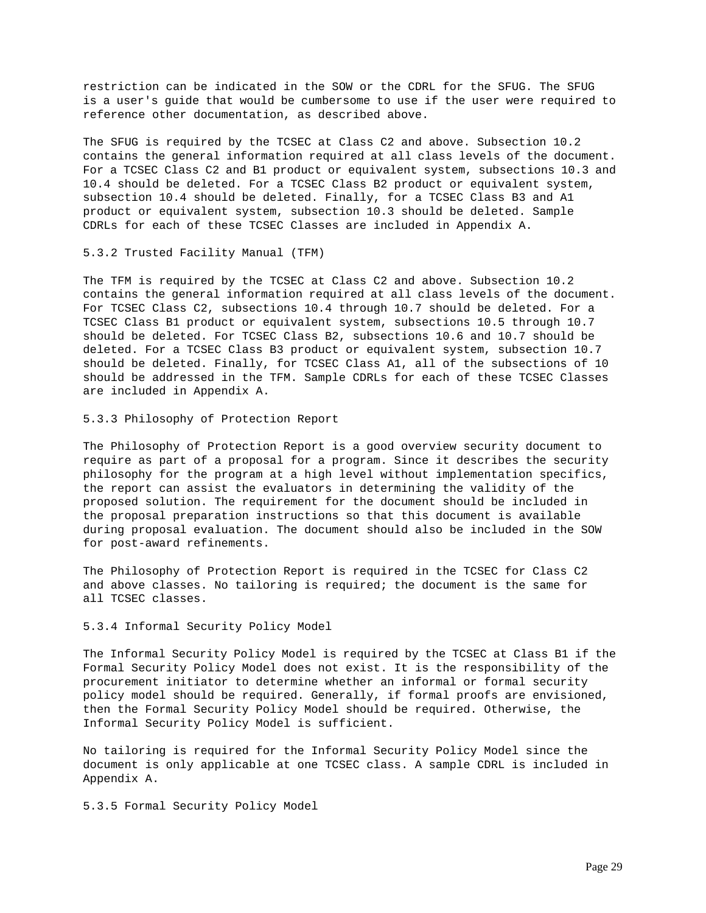restriction can be indicated in the SOW or the CDRL for the SFUG. The SFUG is a user's guide that would be cumbersome to use if the user were required to reference other documentation, as described above.

The SFUG is required by the TCSEC at Class C2 and above. Subsection 10.2 contains the general information required at all class levels of the document. For a TCSEC Class C2 and B1 product or equivalent system, subsections 10.3 and 10.4 should be deleted. For a TCSEC Class B2 product or equivalent system, subsection 10.4 should be deleted. Finally, for a TCSEC Class B3 and A1 product or equivalent system, subsection 10.3 should be deleted. Sample CDRLs for each of these TCSEC Classes are included in Appendix A.

5.3.2 Trusted Facility Manual (TFM)

The TFM is required by the TCSEC at Class C2 and above. Subsection 10.2 contains the general information required at all class levels of the document. For TCSEC Class C2, subsections 10.4 through 10.7 should be deleted. For a TCSEC Class B1 product or equivalent system, subsections 10.5 through 10.7 should be deleted. For TCSEC Class B2, subsections 10.6 and 10.7 should be deleted. For a TCSEC Class B3 product or equivalent system, subsection 10.7 should be deleted. Finally, for TCSEC Class A1, all of the subsections of 10 should be addressed in the TFM. Sample CDRLs for each of these TCSEC Classes are included in Appendix A.

5.3.3 Philosophy of Protection Report

The Philosophy of Protection Report is a good overview security document to require as part of a proposal for a program. Since it describes the security philosophy for the program at a high level without implementation specifics, the report can assist the evaluators in determining the validity of the proposed solution. The requirement for the document should be included in the proposal preparation instructions so that this document is available during proposal evaluation. The document should also be included in the SOW for post-award refinements.

The Philosophy of Protection Report is required in the TCSEC for Class C2 and above classes. No tailoring is required; the document is the same for all TCSEC classes.

5.3.4 Informal Security Policy Model

The Informal Security Policy Model is required by the TCSEC at Class B1 if the Formal Security Policy Model does not exist. It is the responsibility of the procurement initiator to determine whether an informal or formal security policy model should be required. Generally, if formal proofs are envisioned, then the Formal Security Policy Model should be required. Otherwise, the Informal Security Policy Model is sufficient.

No tailoring is required for the Informal Security Policy Model since the document is only applicable at one TCSEC class. A sample CDRL is included in Appendix A.

5.3.5 Formal Security Policy Model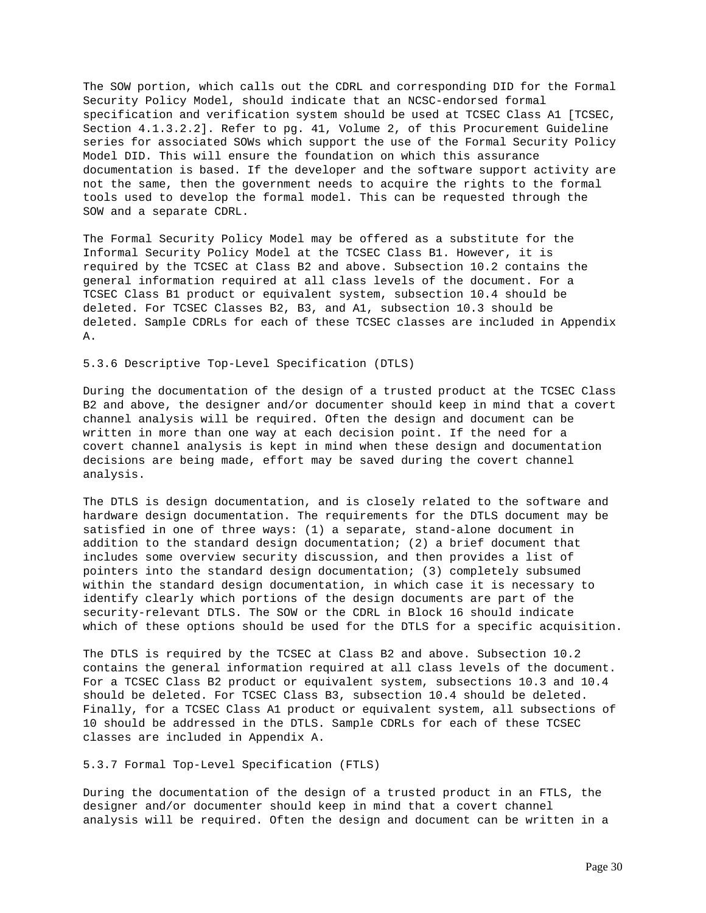The SOW portion, which calls out the CDRL and corresponding DID for the Formal Security Policy Model, should indicate that an NCSC-endorsed formal specification and verification system should be used at TCSEC Class A1 [TCSEC, Section 4.1.3.2.2]. Refer to pg. 41, Volume 2, of this Procurement Guideline series for associated SOWs which support the use of the Formal Security Policy Model DID. This will ensure the foundation on which this assurance documentation is based. If the developer and the software support activity are not the same, then the government needs to acquire the rights to the formal tools used to develop the formal model. This can be requested through the SOW and a separate CDRL.

The Formal Security Policy Model may be offered as a substitute for the Informal Security Policy Model at the TCSEC Class B1. However, it is required by the TCSEC at Class B2 and above. Subsection 10.2 contains the general information required at all class levels of the document. For a TCSEC Class B1 product or equivalent system, subsection 10.4 should be deleted. For TCSEC Classes B2, B3, and A1, subsection 10.3 should be deleted. Sample CDRLs for each of these TCSEC classes are included in Appendix A.

## 5.3.6 Descriptive Top-Level Specification (DTLS)

During the documentation of the design of a trusted product at the TCSEC Class B2 and above, the designer and/or documenter should keep in mind that a covert channel analysis will be required. Often the design and document can be written in more than one way at each decision point. If the need for a covert channel analysis is kept in mind when these design and documentation decisions are being made, effort may be saved during the covert channel analysis.

The DTLS is design documentation, and is closely related to the software and hardware design documentation. The requirements for the DTLS document may be satisfied in one of three ways: (1) a separate, stand-alone document in addition to the standard design documentation; (2) a brief document that includes some overview security discussion, and then provides a list of pointers into the standard design documentation; (3) completely subsumed within the standard design documentation, in which case it is necessary to identify clearly which portions of the design documents are part of the security-relevant DTLS. The SOW or the CDRL in Block 16 should indicate which of these options should be used for the DTLS for a specific acquisition.

The DTLS is required by the TCSEC at Class B2 and above. Subsection 10.2 contains the general information required at all class levels of the document. For a TCSEC Class B2 product or equivalent system, subsections 10.3 and 10.4 should be deleted. For TCSEC Class B3, subsection 10.4 should be deleted. Finally, for a TCSEC Class A1 product or equivalent system, all subsections of 10 should be addressed in the DTLS. Sample CDRLs for each of these TCSEC classes are included in Appendix A.

## 5.3.7 Formal Top-Level Specification (FTLS)

During the documentation of the design of a trusted product in an FTLS, the designer and/or documenter should keep in mind that a covert channel analysis will be required. Often the design and document can be written in a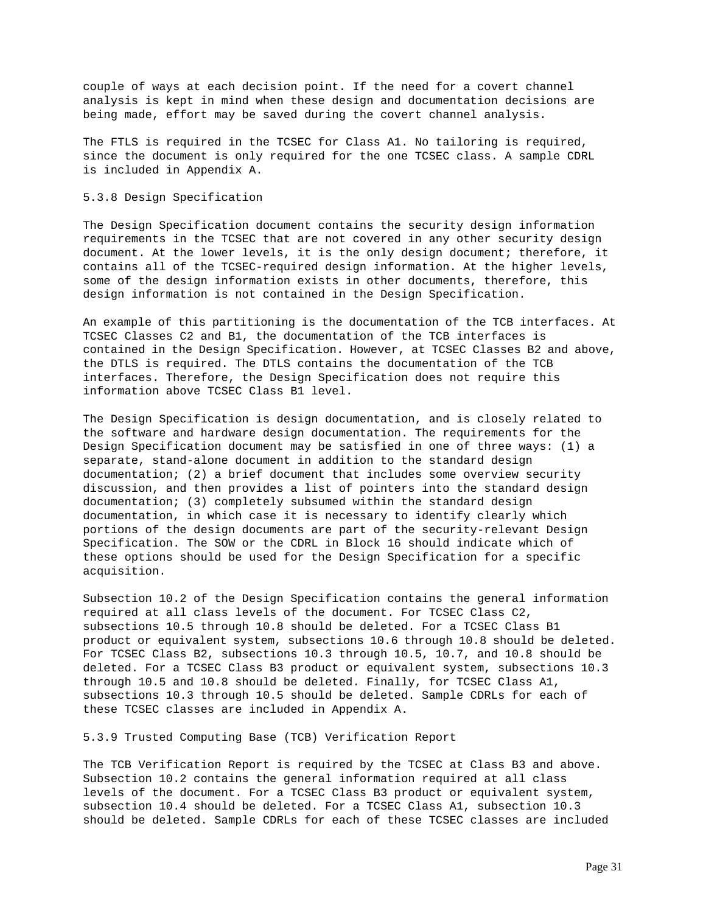couple of ways at each decision point. If the need for a covert channel analysis is kept in mind when these design and documentation decisions are being made, effort may be saved during the covert channel analysis.

The FTLS is required in the TCSEC for Class A1. No tailoring is required, since the document is only required for the one TCSEC class. A sample CDRL is included in Appendix A.

# 5.3.8 Design Specification

The Design Specification document contains the security design information requirements in the TCSEC that are not covered in any other security design document. At the lower levels, it is the only design document; therefore, it contains all of the TCSEC-required design information. At the higher levels, some of the design information exists in other documents, therefore, this design information is not contained in the Design Specification.

An example of this partitioning is the documentation of the TCB interfaces. At TCSEC Classes C2 and B1, the documentation of the TCB interfaces is contained in the Design Specification. However, at TCSEC Classes B2 and above, the DTLS is required. The DTLS contains the documentation of the TCB interfaces. Therefore, the Design Specification does not require this information above TCSEC Class B1 level.

The Design Specification is design documentation, and is closely related to the software and hardware design documentation. The requirements for the Design Specification document may be satisfied in one of three ways: (1) a separate, stand-alone document in addition to the standard design documentation; (2) a brief document that includes some overview security discussion, and then provides a list of pointers into the standard design documentation; (3) completely subsumed within the standard design documentation, in which case it is necessary to identify clearly which portions of the design documents are part of the security-relevant Design Specification. The SOW or the CDRL in Block 16 should indicate which of these options should be used for the Design Specification for a specific acquisition.

Subsection 10.2 of the Design Specification contains the general information required at all class levels of the document. For TCSEC Class C2, subsections 10.5 through 10.8 should be deleted. For a TCSEC Class B1 product or equivalent system, subsections 10.6 through 10.8 should be deleted. For TCSEC Class B2, subsections 10.3 through 10.5, 10.7, and 10.8 should be deleted. For a TCSEC Class B3 product or equivalent system, subsections 10.3 through 10.5 and 10.8 should be deleted. Finally, for TCSEC Class A1, subsections 10.3 through 10.5 should be deleted. Sample CDRLs for each of these TCSEC classes are included in Appendix A.

5.3.9 Trusted Computing Base (TCB) Verification Report

The TCB Verification Report is required by the TCSEC at Class B3 and above. Subsection 10.2 contains the general information required at all class levels of the document. For a TCSEC Class B3 product or equivalent system, subsection 10.4 should be deleted. For a TCSEC Class A1, subsection 10.3 should be deleted. Sample CDRLs for each of these TCSEC classes are included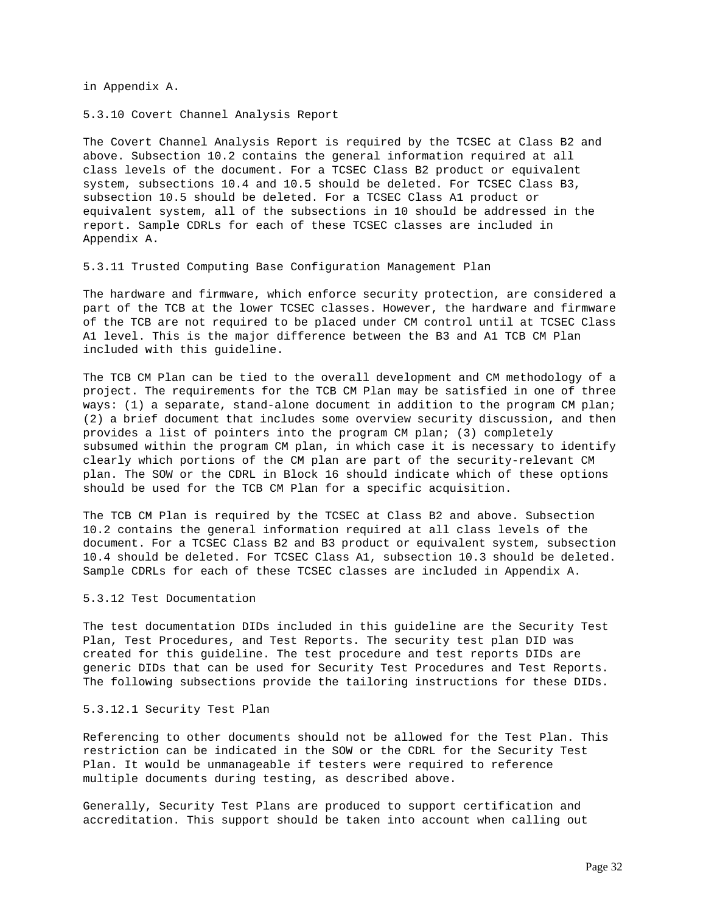in Appendix A.

5.3.10 Covert Channel Analysis Report

The Covert Channel Analysis Report is required by the TCSEC at Class B2 and above. Subsection 10.2 contains the general information required at all class levels of the document. For a TCSEC Class B2 product or equivalent system, subsections 10.4 and 10.5 should be deleted. For TCSEC Class B3, subsection 10.5 should be deleted. For a TCSEC Class A1 product or equivalent system, all of the subsections in 10 should be addressed in the report. Sample CDRLs for each of these TCSEC classes are included in Appendix A.

5.3.11 Trusted Computing Base Configuration Management Plan

The hardware and firmware, which enforce security protection, are considered a part of the TCB at the lower TCSEC classes. However, the hardware and firmware of the TCB are not required to be placed under CM control until at TCSEC Class A1 level. This is the major difference between the B3 and A1 TCB CM Plan included with this guideline.

The TCB CM Plan can be tied to the overall development and CM methodology of a project. The requirements for the TCB CM Plan may be satisfied in one of three ways: (1) a separate, stand-alone document in addition to the program CM plan; (2) a brief document that includes some overview security discussion, and then provides a list of pointers into the program CM plan; (3) completely subsumed within the program CM plan, in which case it is necessary to identify clearly which portions of the CM plan are part of the security-relevant CM plan. The SOW or the CDRL in Block 16 should indicate which of these options should be used for the TCB CM Plan for a specific acquisition.

The TCB CM Plan is required by the TCSEC at Class B2 and above. Subsection 10.2 contains the general information required at all class levels of the document. For a TCSEC Class B2 and B3 product or equivalent system, subsection 10.4 should be deleted. For TCSEC Class A1, subsection 10.3 should be deleted. Sample CDRLs for each of these TCSEC classes are included in Appendix A.

5.3.12 Test Documentation

The test documentation DIDs included in this guideline are the Security Test Plan, Test Procedures, and Test Reports. The security test plan DID was created for this guideline. The test procedure and test reports DIDs are generic DIDs that can be used for Security Test Procedures and Test Reports. The following subsections provide the tailoring instructions for these DIDs.

# 5.3.12.1 Security Test Plan

Referencing to other documents should not be allowed for the Test Plan. This restriction can be indicated in the SOW or the CDRL for the Security Test Plan. It would be unmanageable if testers were required to reference multiple documents during testing, as described above.

Generally, Security Test Plans are produced to support certification and accreditation. This support should be taken into account when calling out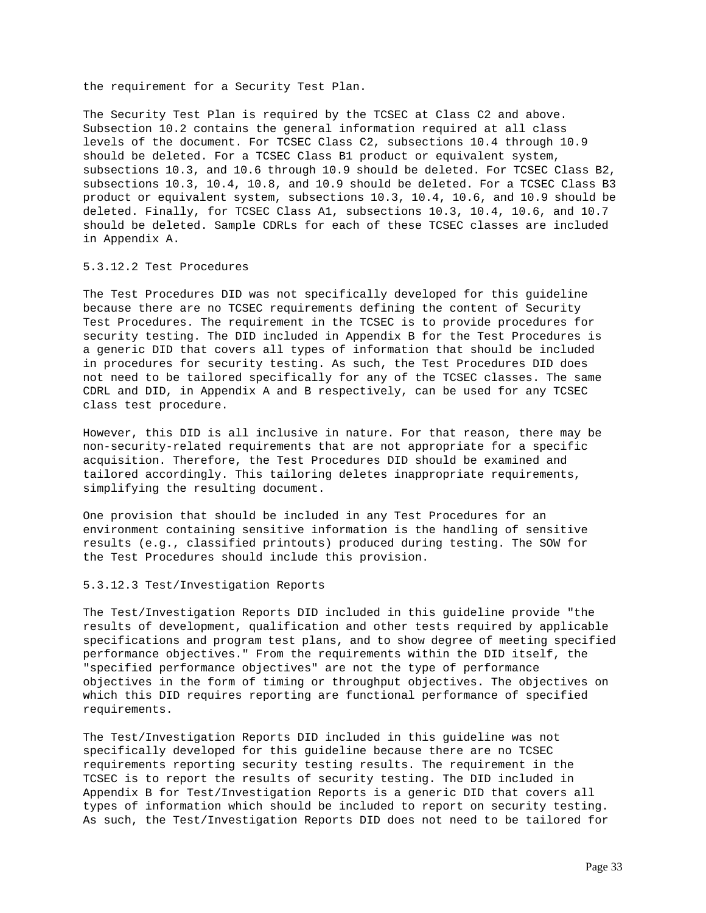the requirement for a Security Test Plan.

The Security Test Plan is required by the TCSEC at Class C2 and above. Subsection 10.2 contains the general information required at all class levels of the document. For TCSEC Class C2, subsections 10.4 through 10.9 should be deleted. For a TCSEC Class B1 product or equivalent system, subsections 10.3, and 10.6 through 10.9 should be deleted. For TCSEC Class B2, subsections 10.3, 10.4, 10.8, and 10.9 should be deleted. For a TCSEC Class B3 product or equivalent system, subsections 10.3, 10.4, 10.6, and 10.9 should be deleted. Finally, for TCSEC Class A1, subsections 10.3, 10.4, 10.6, and 10.7 should be deleted. Sample CDRLs for each of these TCSEC classes are included in Appendix A.

# 5.3.12.2 Test Procedures

The Test Procedures DID was not specifically developed for this guideline because there are no TCSEC requirements defining the content of Security Test Procedures. The requirement in the TCSEC is to provide procedures for security testing. The DID included in Appendix B for the Test Procedures is a generic DID that covers all types of information that should be included in procedures for security testing. As such, the Test Procedures DID does not need to be tailored specifically for any of the TCSEC classes. The same CDRL and DID, in Appendix A and B respectively, can be used for any TCSEC class test procedure.

However, this DID is all inclusive in nature. For that reason, there may be non-security-related requirements that are not appropriate for a specific acquisition. Therefore, the Test Procedures DID should be examined and tailored accordingly. This tailoring deletes inappropriate requirements, simplifying the resulting document.

One provision that should be included in any Test Procedures for an environment containing sensitive information is the handling of sensitive results (e.g., classified printouts) produced during testing. The SOW for the Test Procedures should include this provision.

### 5.3.12.3 Test/Investigation Reports

The Test/Investigation Reports DID included in this guideline provide "the results of development, qualification and other tests required by applicable specifications and program test plans, and to show degree of meeting specified performance objectives." From the requirements within the DID itself, the "specified performance objectives" are not the type of performance objectives in the form of timing or throughput objectives. The objectives on which this DID requires reporting are functional performance of specified requirements.

The Test/Investigation Reports DID included in this guideline was not specifically developed for this guideline because there are no TCSEC requirements reporting security testing results. The requirement in the TCSEC is to report the results of security testing. The DID included in Appendix B for Test/Investigation Reports is a generic DID that covers all types of information which should be included to report on security testing. As such, the Test/Investigation Reports DID does not need to be tailored for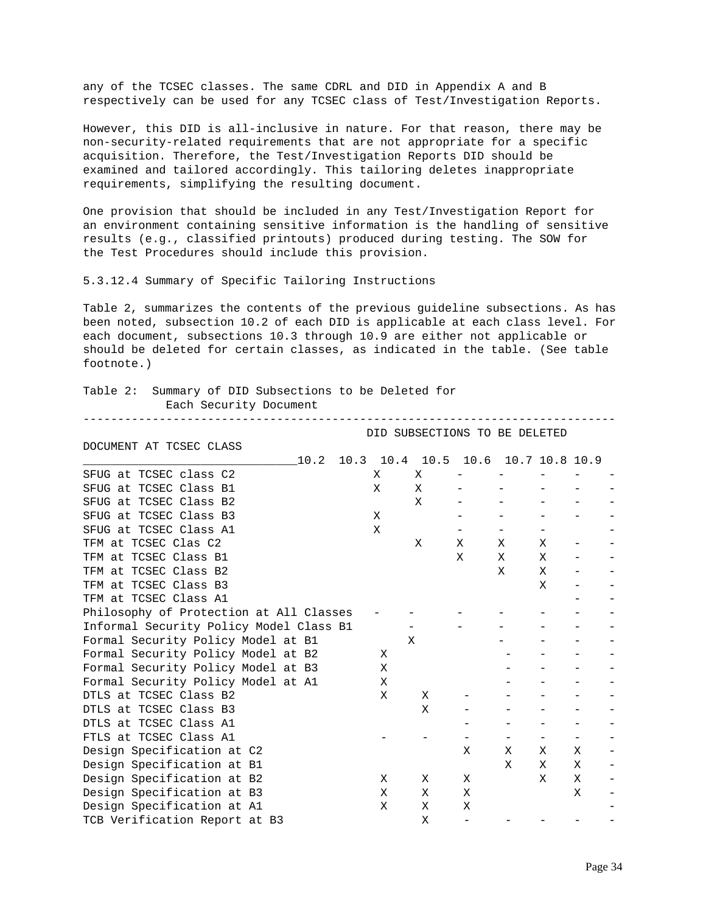any of the TCSEC classes. The same CDRL and DID in Appendix A and B respectively can be used for any TCSEC class of Test/Investigation Reports.

However, this DID is all-inclusive in nature. For that reason, there may be non-security-related requirements that are not appropriate for a specific acquisition. Therefore, the Test/Investigation Reports DID should be examined and tailored accordingly. This tailoring deletes inappropriate requirements, simplifying the resulting document.

One provision that should be included in any Test/Investigation Report for an environment containing sensitive information is the handling of sensitive results (e.g., classified printouts) produced during testing. The SOW for the Test Procedures should include this provision.

5.3.12.4 Summary of Specific Tailoring Instructions

Table 2, summarizes the contents of the previous guideline subsections. As has been noted, subsection 10.2 of each DID is applicable at each class level. For each document, subsections 10.3 through 10.9 are either not applicable or should be deleted for certain classes, as indicated in the table. (See table footnote.)

-----------------------------------------------------------------------------

# Table 2: Summary of DID Subsections to be Deleted for Each Security Document

DOCUMENT AT TCSEC CLASS

DID SUBSECTIONS TO BE DELETED

| 10.2                                    | 10.3 | 10.4 | 10.5 |   | 10.6 10.7 10.8 10.9 |   |   |  |
|-----------------------------------------|------|------|------|---|---------------------|---|---|--|
| SFUG at TCSEC class C2                  |      | Χ    | Χ    |   |                     |   |   |  |
| SFUG at TCSEC Class B1                  |      | X    | X    |   |                     |   |   |  |
| SFUG at TCSEC Class B2                  |      |      | X    |   |                     |   |   |  |
| SFUG at TCSEC Class B3                  |      | Χ    |      |   |                     |   |   |  |
| SFUG at TCSEC Class A1                  |      | X    |      |   |                     |   |   |  |
| TFM at TCSEC Clas C2                    |      |      | X    | X | X                   | X |   |  |
| TFM at TCSEC Class B1                   |      |      |      | X | X                   | Χ |   |  |
| TFM at TCSEC Class B2                   |      |      |      |   | X                   | X |   |  |
| TFM at TCSEC Class B3                   |      |      |      |   |                     | X |   |  |
| TFM at TCSEC Class A1                   |      |      |      |   |                     |   |   |  |
| Philosophy of Protection at All Classes |      |      |      |   |                     |   |   |  |
| Informal Security Policy Model Class B1 |      |      |      |   |                     |   |   |  |
| Formal Security Policy Model at B1      |      |      | Χ    |   |                     |   |   |  |
| Formal Security Policy Model at B2      |      | X    |      |   |                     |   |   |  |
| Formal Security Policy Model at B3      |      | X    |      |   |                     |   |   |  |
| Formal Security Policy Model at A1      |      | Χ    |      |   |                     |   |   |  |
| DTLS at TCSEC Class B2                  |      | Χ    | X    |   |                     |   |   |  |
| DTLS at TCSEC Class B3                  |      |      | X    |   |                     |   |   |  |
| DTLS at TCSEC Class A1                  |      |      |      |   |                     |   |   |  |
| FTLS at TCSEC Class A1                  |      |      |      |   |                     |   |   |  |
| Design Specification at C2              |      |      |      | X | X                   | X | X |  |
| Design Specification at B1              |      |      |      |   | X                   | X | X |  |
| Design Specification at B2              |      | Χ    | Χ    | X |                     | X | X |  |
| Design Specification at B3              |      | Χ    | Χ    | X |                     |   | X |  |
| Design Specification at A1              |      | Χ    | Χ    | Χ |                     |   |   |  |
| TCB Verification Report at B3           |      |      | Χ    |   |                     |   |   |  |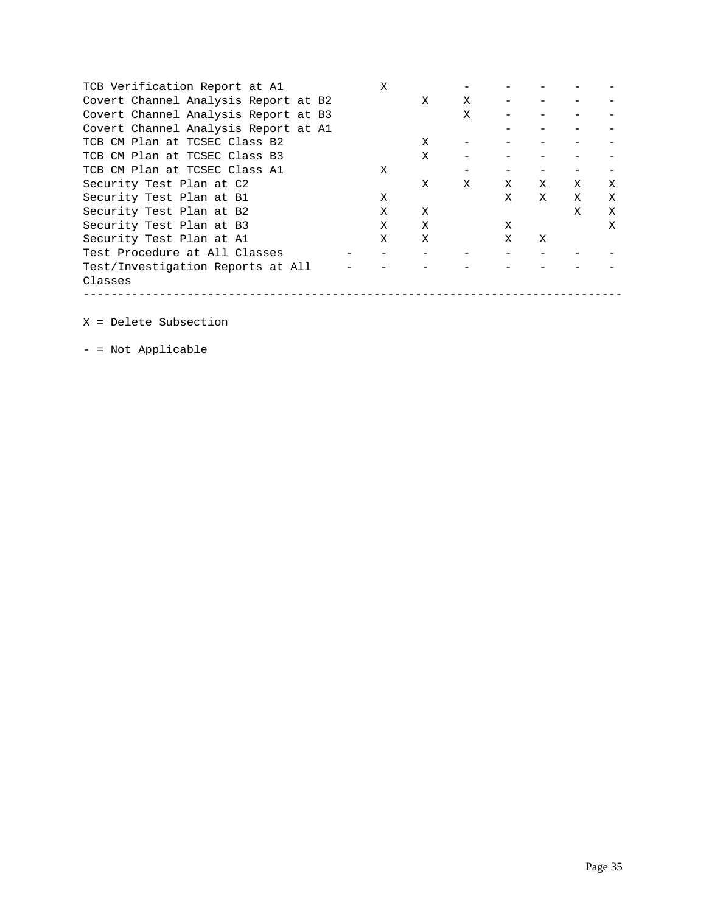| TCB Verification Report at A1        | X |   |   |   |   |   |   |
|--------------------------------------|---|---|---|---|---|---|---|
| Covert Channel Analysis Report at B2 |   | X | X |   |   |   |   |
| Covert Channel Analysis Report at B3 |   |   | X |   |   |   |   |
| Covert Channel Analysis Report at A1 |   |   |   |   |   |   |   |
| TCB CM Plan at TCSEC Class B2        |   | X |   |   |   |   |   |
| TCB CM Plan at TCSEC Class B3        |   | X |   |   |   |   |   |
| TCB CM Plan at TCSEC Class A1        | X |   |   |   |   |   |   |
| Security Test Plan at C2             |   | X | X | X | Χ | X | Χ |
| Security Test Plan at B1             | Χ |   |   | X | X | X | X |
| Security Test Plan at B2             | X | X |   |   |   | X | X |
| Security Test Plan at B3             | Χ | X |   | X |   |   | X |
| Security Test Plan at A1             | X | X |   | X | X |   |   |
| Test Procedure at All Classes        |   |   |   |   |   |   |   |
| Test/Investigation Reports at All    |   |   |   |   |   |   |   |
| Classes                              |   |   |   |   |   |   |   |
|                                      |   |   |   |   |   |   |   |

X = Delete Subsection

- = Not Applicable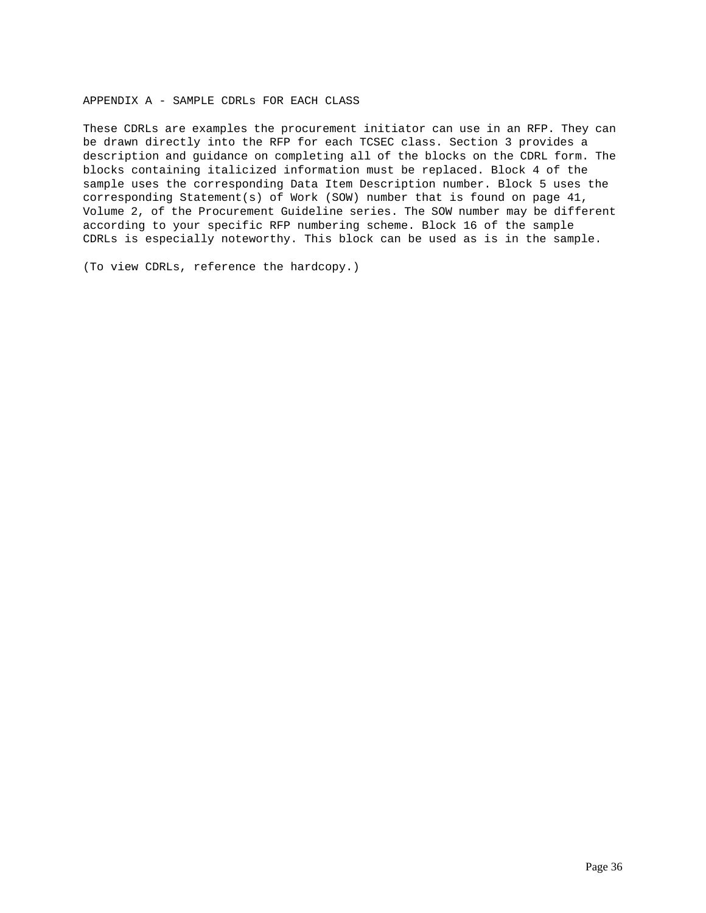# APPENDIX A - SAMPLE CDRLs FOR EACH CLASS

These CDRLs are examples the procurement initiator can use in an RFP. They can be drawn directly into the RFP for each TCSEC class. Section 3 provides a description and guidance on completing all of the blocks on the CDRL form. The blocks containing italicized information must be replaced. Block 4 of the sample uses the corresponding Data Item Description number. Block 5 uses the corresponding Statement(s) of Work (SOW) number that is found on page 41, Volume 2, of the Procurement Guideline series. The SOW number may be different according to your specific RFP numbering scheme. Block 16 of the sample CDRLs is especially noteworthy. This block can be used as is in the sample.

(To view CDRLs, reference the hardcopy.)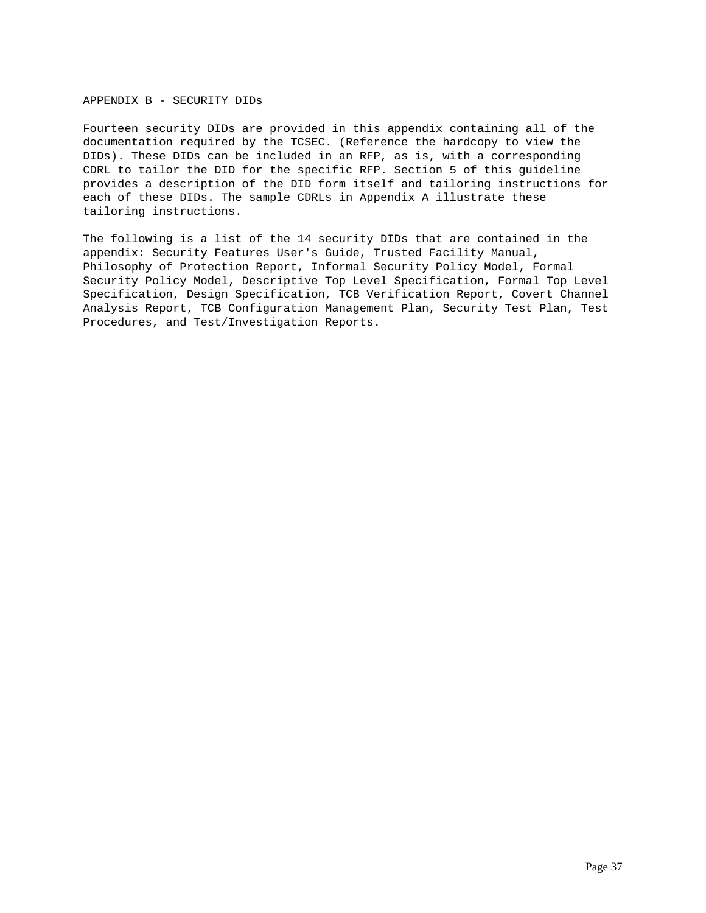# APPENDIX B - SECURITY DIDs

Fourteen security DIDs are provided in this appendix containing all of the documentation required by the TCSEC. (Reference the hardcopy to view the DIDs). These DIDs can be included in an RFP, as is, with a corresponding CDRL to tailor the DID for the specific RFP. Section 5 of this guideline provides a description of the DID form itself and tailoring instructions for each of these DIDs. The sample CDRLs in Appendix A illustrate these tailoring instructions.

The following is a list of the 14 security DIDs that are contained in the appendix: Security Features User's Guide, Trusted Facility Manual, Philosophy of Protection Report, Informal Security Policy Model, Formal Security Policy Model, Descriptive Top Level Specification, Formal Top Level Specification, Design Specification, TCB Verification Report, Covert Channel Analysis Report, TCB Configuration Management Plan, Security Test Plan, Test Procedures, and Test/Investigation Reports.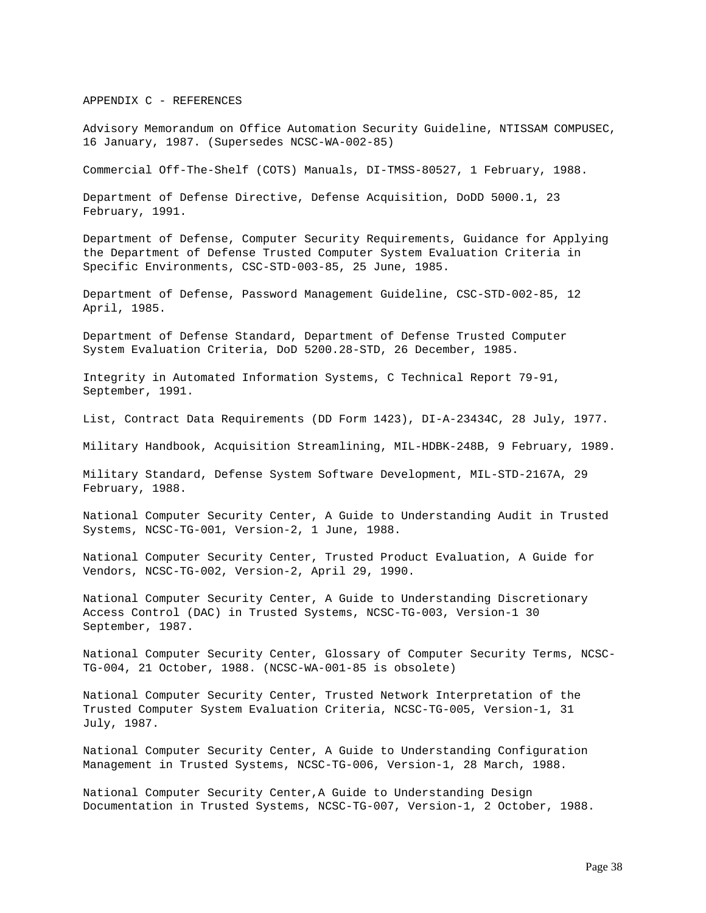## APPENDIX C - REFERENCES

Advisory Memorandum on Office Automation Security Guideline, NTISSAM COMPUSEC, 16 January, 1987. (Supersedes NCSC-WA-002-85)

Commercial Off-The-Shelf (COTS) Manuals, DI-TMSS-80527, 1 February, 1988.

Department of Defense Directive, Defense Acquisition, DoDD 5000.1, 23 February, 1991.

Department of Defense, Computer Security Requirements, Guidance for Applying the Department of Defense Trusted Computer System Evaluation Criteria in Specific Environments, CSC-STD-003-85, 25 June, 1985.

Department of Defense, Password Management Guideline, CSC-STD-002-85, 12 April, 1985.

Department of Defense Standard, Department of Defense Trusted Computer System Evaluation Criteria, DoD 5200.28-STD, 26 December, 1985.

Integrity in Automated Information Systems, C Technical Report 79-91, September, 1991.

List, Contract Data Requirements (DD Form 1423), DI-A-23434C, 28 July, 1977.

Military Handbook, Acquisition Streamlining, MIL-HDBK-248B, 9 February, 1989.

Military Standard, Defense System Software Development, MIL-STD-2167A, 29 February, 1988.

National Computer Security Center, A Guide to Understanding Audit in Trusted Systems, NCSC-TG-001, Version-2, 1 June, 1988.

National Computer Security Center, Trusted Product Evaluation, A Guide for Vendors, NCSC-TG-002, Version-2, April 29, 1990.

National Computer Security Center, A Guide to Understanding Discretionary Access Control (DAC) in Trusted Systems, NCSC-TG-003, Version-1 30 September, 1987.

National Computer Security Center, Glossary of Computer Security Terms, NCSC-TG-004, 21 October, 1988. (NCSC-WA-001-85 is obsolete)

National Computer Security Center, Trusted Network Interpretation of the Trusted Computer System Evaluation Criteria, NCSC-TG-005, Version-1, 31 July, 1987.

National Computer Security Center, A Guide to Understanding Configuration Management in Trusted Systems, NCSC-TG-006, Version-1, 28 March, 1988.

National Computer Security Center,A Guide to Understanding Design Documentation in Trusted Systems, NCSC-TG-007, Version-1, 2 October, 1988.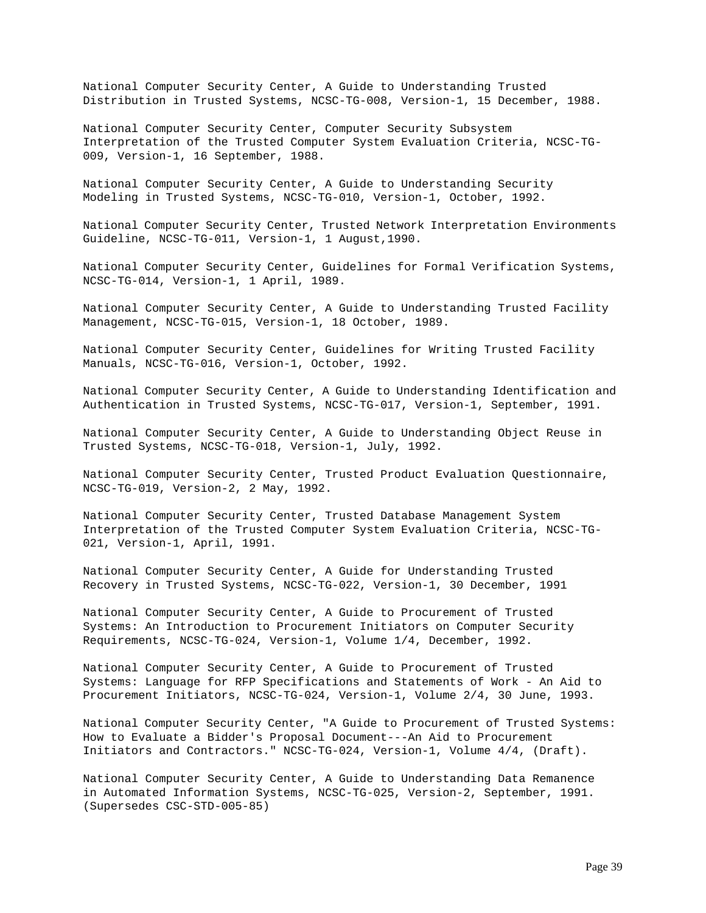National Computer Security Center, A Guide to Understanding Trusted Distribution in Trusted Systems, NCSC-TG-008, Version-1, 15 December, 1988.

National Computer Security Center, Computer Security Subsystem Interpretation of the Trusted Computer System Evaluation Criteria, NCSC-TG-009, Version-1, 16 September, 1988.

National Computer Security Center, A Guide to Understanding Security Modeling in Trusted Systems, NCSC-TG-010, Version-1, October, 1992.

National Computer Security Center, Trusted Network Interpretation Environments Guideline, NCSC-TG-011, Version-1, 1 August,1990.

National Computer Security Center, Guidelines for Formal Verification Systems, NCSC-TG-014, Version-1, 1 April, 1989.

National Computer Security Center, A Guide to Understanding Trusted Facility Management, NCSC-TG-015, Version-1, 18 October, 1989.

National Computer Security Center, Guidelines for Writing Trusted Facility Manuals, NCSC-TG-016, Version-1, October, 1992.

National Computer Security Center, A Guide to Understanding Identification and Authentication in Trusted Systems, NCSC-TG-017, Version-1, September, 1991.

National Computer Security Center, A Guide to Understanding Object Reuse in Trusted Systems, NCSC-TG-018, Version-1, July, 1992.

National Computer Security Center, Trusted Product Evaluation Questionnaire, NCSC-TG-019, Version-2, 2 May, 1992.

National Computer Security Center, Trusted Database Management System Interpretation of the Trusted Computer System Evaluation Criteria, NCSC-TG-021, Version-1, April, 1991.

National Computer Security Center, A Guide for Understanding Trusted Recovery in Trusted Systems, NCSC-TG-022, Version-1, 30 December, 1991

National Computer Security Center, A Guide to Procurement of Trusted Systems: An Introduction to Procurement Initiators on Computer Security Requirements, NCSC-TG-024, Version-1, Volume 1/4, December, 1992.

National Computer Security Center, A Guide to Procurement of Trusted Systems: Language for RFP Specifications and Statements of Work - An Aid to Procurement Initiators, NCSC-TG-024, Version-1, Volume 2/4, 30 June, 1993.

National Computer Security Center, "A Guide to Procurement of Trusted Systems: How to Evaluate a Bidder's Proposal Document---An Aid to Procurement Initiators and Contractors." NCSC-TG-024, Version-1, Volume 4/4, (Draft).

National Computer Security Center, A Guide to Understanding Data Remanence in Automated Information Systems, NCSC-TG-025, Version-2, September, 1991. (Supersedes CSC-STD-005-85)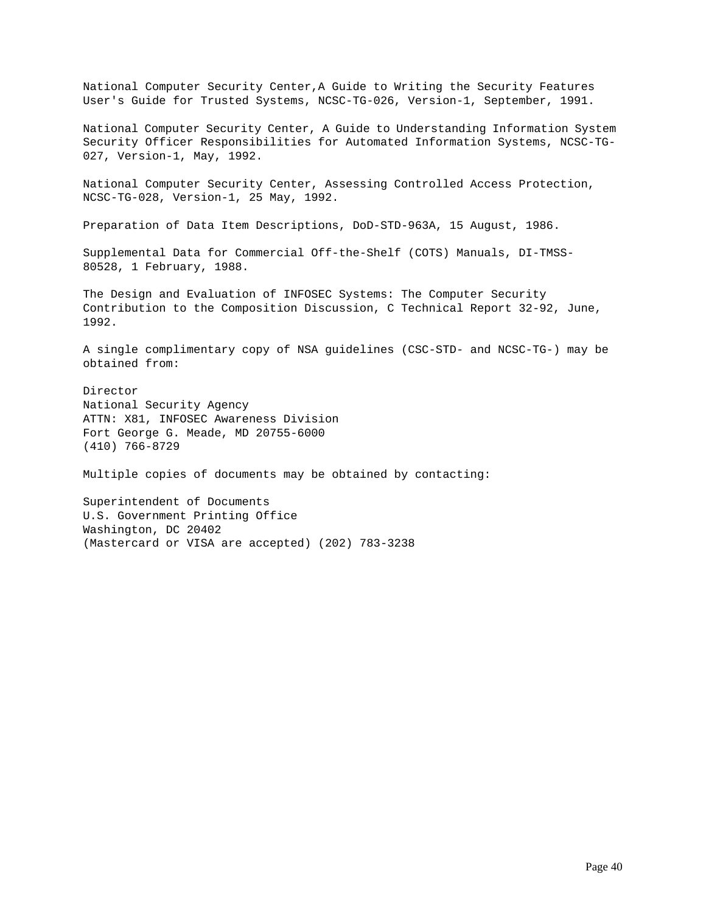National Computer Security Center,A Guide to Writing the Security Features User's Guide for Trusted Systems, NCSC-TG-026, Version-1, September, 1991.

National Computer Security Center, A Guide to Understanding Information System Security Officer Responsibilities for Automated Information Systems, NCSC-TG-027, Version-1, May, 1992.

National Computer Security Center, Assessing Controlled Access Protection, NCSC-TG-028, Version-1, 25 May, 1992.

Preparation of Data Item Descriptions, DoD-STD-963A, 15 August, 1986.

Supplemental Data for Commercial Off-the-Shelf (COTS) Manuals, DI-TMSS-80528, 1 February, 1988.

The Design and Evaluation of INFOSEC Systems: The Computer Security Contribution to the Composition Discussion, C Technical Report 32-92, June, 1992.

A single complimentary copy of NSA guidelines (CSC-STD- and NCSC-TG-) may be obtained from:

Director National Security Agency ATTN: X81, INFOSEC Awareness Division Fort George G. Meade, MD 20755-6000 (410) 766-8729

Multiple copies of documents may be obtained by contacting:

Superintendent of Documents U.S. Government Printing Office Washington, DC 20402 (Mastercard or VISA are accepted) (202) 783-3238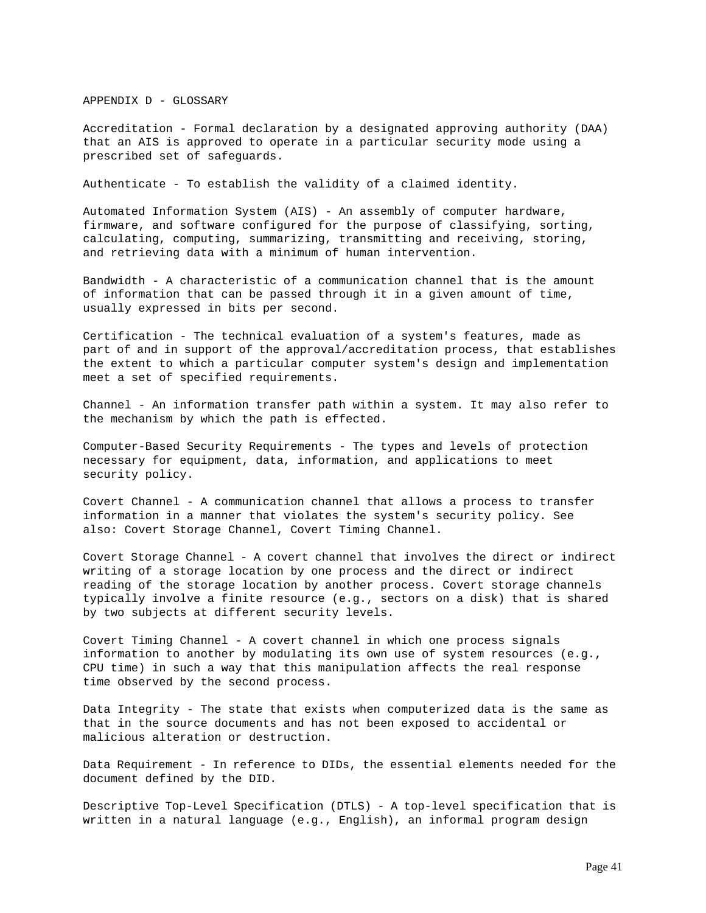APPENDIX D - GLOSSARY

Accreditation - Formal declaration by a designated approving authority (DAA) that an AIS is approved to operate in a particular security mode using a prescribed set of safeguards.

Authenticate - To establish the validity of a claimed identity.

Automated Information System (AIS) - An assembly of computer hardware, firmware, and software configured for the purpose of classifying, sorting, calculating, computing, summarizing, transmitting and receiving, storing, and retrieving data with a minimum of human intervention.

Bandwidth - A characteristic of a communication channel that is the amount of information that can be passed through it in a given amount of time, usually expressed in bits per second.

Certification - The technical evaluation of a system's features, made as part of and in support of the approval/accreditation process, that establishes the extent to which a particular computer system's design and implementation meet a set of specified requirements.

Channel - An information transfer path within a system. It may also refer to the mechanism by which the path is effected.

Computer-Based Security Requirements - The types and levels of protection necessary for equipment, data, information, and applications to meet security policy.

Covert Channel - A communication channel that allows a process to transfer information in a manner that violates the system's security policy. See also: Covert Storage Channel, Covert Timing Channel.

Covert Storage Channel - A covert channel that involves the direct or indirect writing of a storage location by one process and the direct or indirect reading of the storage location by another process. Covert storage channels typically involve a finite resource (e.g., sectors on a disk) that is shared by two subjects at different security levels.

Covert Timing Channel - A covert channel in which one process signals information to another by modulating its own use of system resources (e.g., CPU time) in such a way that this manipulation affects the real response time observed by the second process.

Data Integrity - The state that exists when computerized data is the same as that in the source documents and has not been exposed to accidental or malicious alteration or destruction.

Data Requirement - In reference to DIDs, the essential elements needed for the document defined by the DID.

Descriptive Top-Level Specification (DTLS) - A top-level specification that is written in a natural language (e.g., English), an informal program design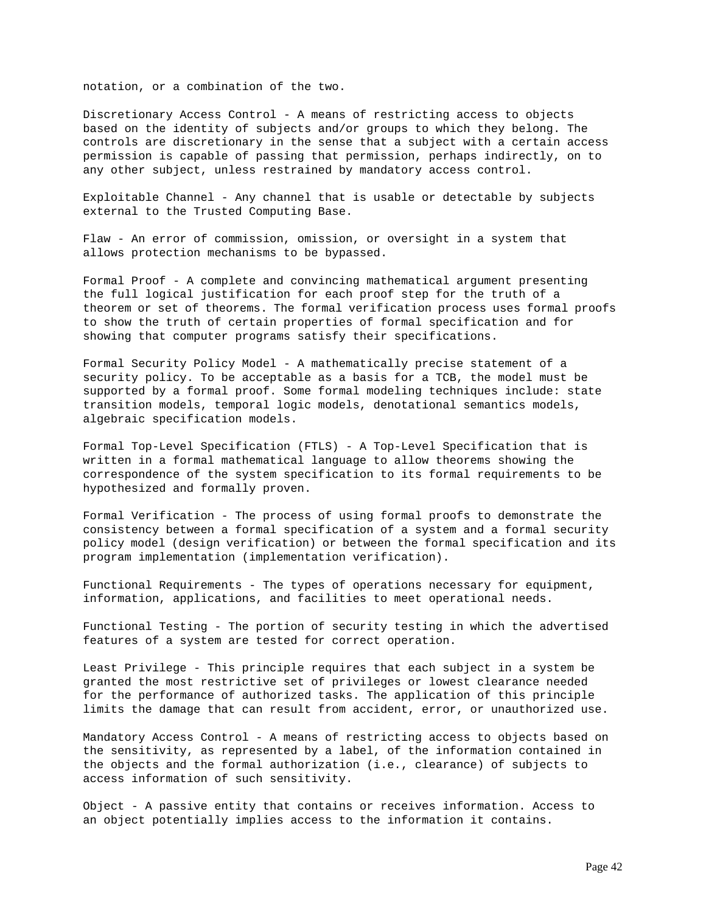notation, or a combination of the two.

Discretionary Access Control - A means of restricting access to objects based on the identity of subjects and/or groups to which they belong. The controls are discretionary in the sense that a subject with a certain access permission is capable of passing that permission, perhaps indirectly, on to any other subject, unless restrained by mandatory access control.

Exploitable Channel - Any channel that is usable or detectable by subjects external to the Trusted Computing Base.

Flaw - An error of commission, omission, or oversight in a system that allows protection mechanisms to be bypassed.

Formal Proof - A complete and convincing mathematical argument presenting the full logical justification for each proof step for the truth of a theorem or set of theorems. The formal verification process uses formal proofs to show the truth of certain properties of formal specification and for showing that computer programs satisfy their specifications.

Formal Security Policy Model - A mathematically precise statement of a security policy. To be acceptable as a basis for a TCB, the model must be supported by a formal proof. Some formal modeling techniques include: state transition models, temporal logic models, denotational semantics models, algebraic specification models.

Formal Top-Level Specification (FTLS) - A Top-Level Specification that is written in a formal mathematical language to allow theorems showing the correspondence of the system specification to its formal requirements to be hypothesized and formally proven.

Formal Verification - The process of using formal proofs to demonstrate the consistency between a formal specification of a system and a formal security policy model (design verification) or between the formal specification and its program implementation (implementation verification).

Functional Requirements - The types of operations necessary for equipment, information, applications, and facilities to meet operational needs.

Functional Testing - The portion of security testing in which the advertised features of a system are tested for correct operation.

Least Privilege - This principle requires that each subject in a system be granted the most restrictive set of privileges or lowest clearance needed for the performance of authorized tasks. The application of this principle limits the damage that can result from accident, error, or unauthorized use.

Mandatory Access Control - A means of restricting access to objects based on the sensitivity, as represented by a label, of the information contained in the objects and the formal authorization (i.e., clearance) of subjects to access information of such sensitivity.

Object - A passive entity that contains or receives information. Access to an object potentially implies access to the information it contains.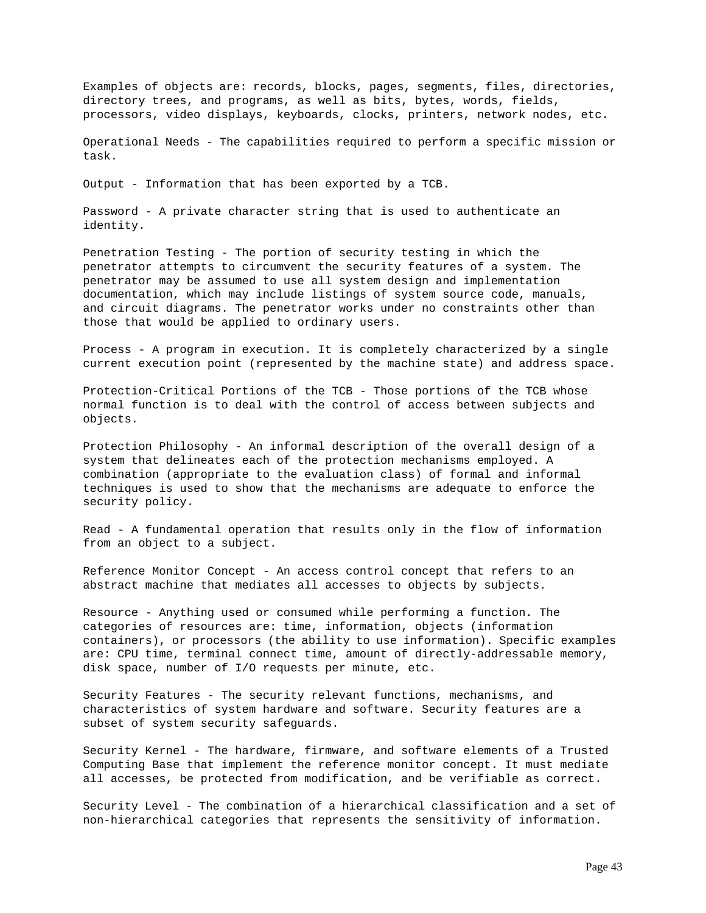Examples of objects are: records, blocks, pages, segments, files, directories, directory trees, and programs, as well as bits, bytes, words, fields, processors, video displays, keyboards, clocks, printers, network nodes, etc.

Operational Needs - The capabilities required to perform a specific mission or task.

Output - Information that has been exported by a TCB.

Password - A private character string that is used to authenticate an identity.

Penetration Testing - The portion of security testing in which the penetrator attempts to circumvent the security features of a system. The penetrator may be assumed to use all system design and implementation documentation, which may include listings of system source code, manuals, and circuit diagrams. The penetrator works under no constraints other than those that would be applied to ordinary users.

Process - A program in execution. It is completely characterized by a single current execution point (represented by the machine state) and address space.

Protection-Critical Portions of the TCB - Those portions of the TCB whose normal function is to deal with the control of access between subjects and objects.

Protection Philosophy - An informal description of the overall design of a system that delineates each of the protection mechanisms employed. A combination (appropriate to the evaluation class) of formal and informal techniques is used to show that the mechanisms are adequate to enforce the security policy.

Read - A fundamental operation that results only in the flow of information from an object to a subject.

Reference Monitor Concept - An access control concept that refers to an abstract machine that mediates all accesses to objects by subjects.

Resource - Anything used or consumed while performing a function. The categories of resources are: time, information, objects (information containers), or processors (the ability to use information). Specific examples are: CPU time, terminal connect time, amount of directly-addressable memory, disk space, number of I/O requests per minute, etc.

Security Features - The security relevant functions, mechanisms, and characteristics of system hardware and software. Security features are a subset of system security safeguards.

Security Kernel - The hardware, firmware, and software elements of a Trusted Computing Base that implement the reference monitor concept. It must mediate all accesses, be protected from modification, and be verifiable as correct.

Security Level - The combination of a hierarchical classification and a set of non-hierarchical categories that represents the sensitivity of information.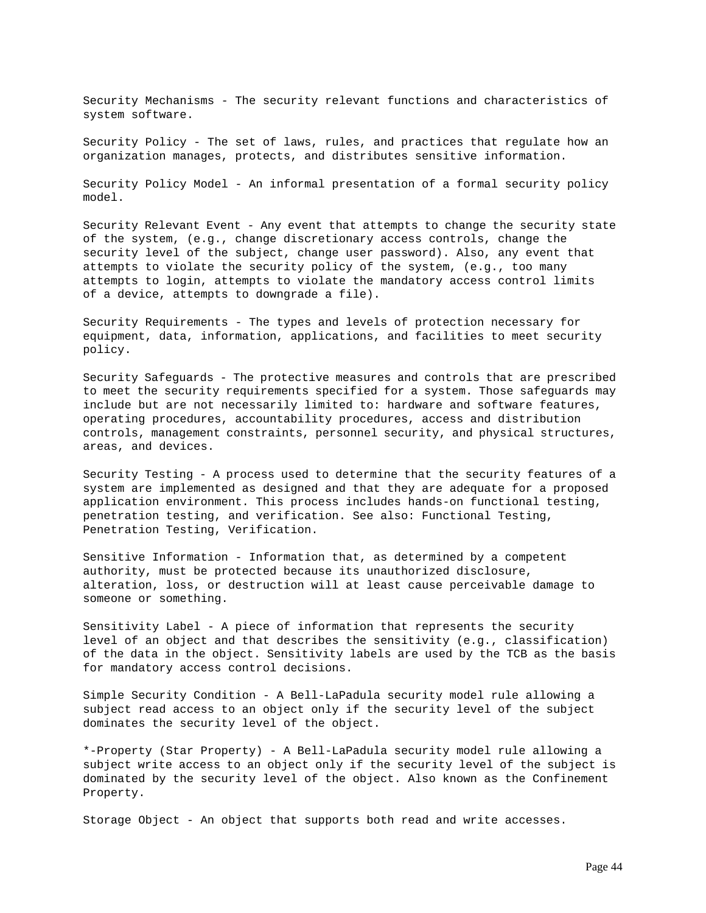Security Mechanisms - The security relevant functions and characteristics of system software.

Security Policy - The set of laws, rules, and practices that regulate how an organization manages, protects, and distributes sensitive information.

Security Policy Model - An informal presentation of a formal security policy model.

Security Relevant Event - Any event that attempts to change the security state of the system, (e.g., change discretionary access controls, change the security level of the subject, change user password). Also, any event that attempts to violate the security policy of the system, (e.g., too many attempts to login, attempts to violate the mandatory access control limits of a device, attempts to downgrade a file).

Security Requirements - The types and levels of protection necessary for equipment, data, information, applications, and facilities to meet security policy.

Security Safeguards - The protective measures and controls that are prescribed to meet the security requirements specified for a system. Those safeguards may include but are not necessarily limited to: hardware and software features, operating procedures, accountability procedures, access and distribution controls, management constraints, personnel security, and physical structures, areas, and devices.

Security Testing - A process used to determine that the security features of a system are implemented as designed and that they are adequate for a proposed application environment. This process includes hands-on functional testing, penetration testing, and verification. See also: Functional Testing, Penetration Testing, Verification.

Sensitive Information - Information that, as determined by a competent authority, must be protected because its unauthorized disclosure, alteration, loss, or destruction will at least cause perceivable damage to someone or something.

Sensitivity Label - A piece of information that represents the security level of an object and that describes the sensitivity (e.g., classification) of the data in the object. Sensitivity labels are used by the TCB as the basis for mandatory access control decisions.

Simple Security Condition - A Bell-LaPadula security model rule allowing a subject read access to an object only if the security level of the subject dominates the security level of the object.

\*-Property (Star Property) - A Bell-LaPadula security model rule allowing a subject write access to an object only if the security level of the subject is dominated by the security level of the object. Also known as the Confinement Property.

Storage Object - An object that supports both read and write accesses.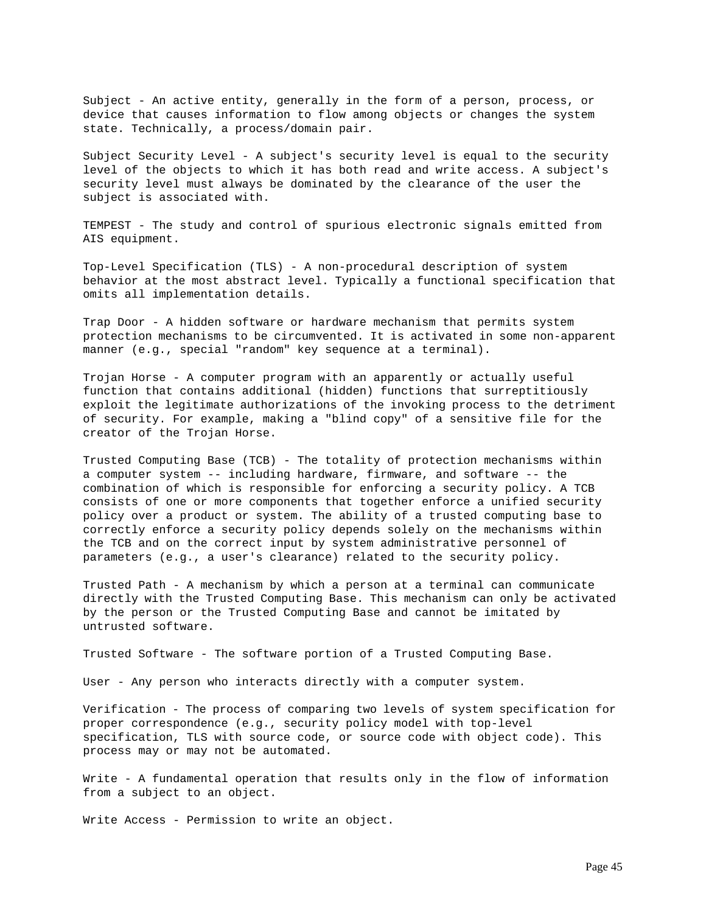Subject - An active entity, generally in the form of a person, process, or device that causes information to flow among objects or changes the system state. Technically, a process/domain pair.

Subject Security Level - A subject's security level is equal to the security level of the objects to which it has both read and write access. A subject's security level must always be dominated by the clearance of the user the subject is associated with.

TEMPEST - The study and control of spurious electronic signals emitted from AIS equipment.

Top-Level Specification (TLS) - A non-procedural description of system behavior at the most abstract level. Typically a functional specification that omits all implementation details.

Trap Door - A hidden software or hardware mechanism that permits system protection mechanisms to be circumvented. It is activated in some non-apparent manner (e.g., special "random" key sequence at a terminal).

Trojan Horse - A computer program with an apparently or actually useful function that contains additional (hidden) functions that surreptitiously exploit the legitimate authorizations of the invoking process to the detriment of security. For example, making a "blind copy" of a sensitive file for the creator of the Trojan Horse.

Trusted Computing Base (TCB) - The totality of protection mechanisms within a computer system -- including hardware, firmware, and software -- the combination of which is responsible for enforcing a security policy. A TCB consists of one or more components that together enforce a unified security policy over a product or system. The ability of a trusted computing base to correctly enforce a security policy depends solely on the mechanisms within the TCB and on the correct input by system administrative personnel of parameters (e.g., a user's clearance) related to the security policy.

Trusted Path - A mechanism by which a person at a terminal can communicate directly with the Trusted Computing Base. This mechanism can only be activated by the person or the Trusted Computing Base and cannot be imitated by untrusted software.

Trusted Software - The software portion of a Trusted Computing Base.

User - Any person who interacts directly with a computer system.

Verification - The process of comparing two levels of system specification for proper correspondence (e.g., security policy model with top-level specification, TLS with source code, or source code with object code). This process may or may not be automated.

Write - A fundamental operation that results only in the flow of information from a subject to an object.

Write Access - Permission to write an object.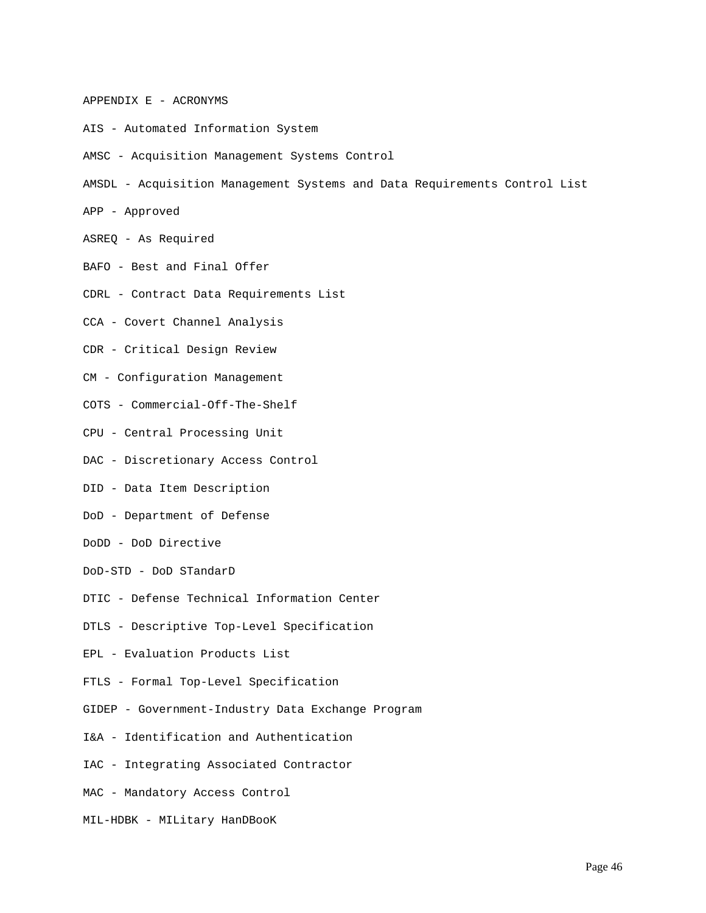# APPENDIX E - ACRONYMS

- AIS Automated Information System
- AMSC Acquisition Management Systems Control
- AMSDL Acquisition Management Systems and Data Requirements Control List
- APP Approved
- ASREQ As Required
- BAFO Best and Final Offer
- CDRL Contract Data Requirements List
- CCA Covert Channel Analysis
- CDR Critical Design Review
- CM Configuration Management
- COTS Commercial-Off-The-Shelf
- CPU Central Processing Unit
- DAC Discretionary Access Control
- DID Data Item Description
- DoD Department of Defense
- DoDD DoD Directive
- DoD-STD DoD STandarD
- DTIC Defense Technical Information Center
- DTLS Descriptive Top-Level Specification
- EPL Evaluation Products List
- FTLS Formal Top-Level Specification
- GIDEP Government-Industry Data Exchange Program
- I&A Identification and Authentication
- IAC Integrating Associated Contractor
- MAC Mandatory Access Control
- MIL-HDBK MILitary HanDBooK